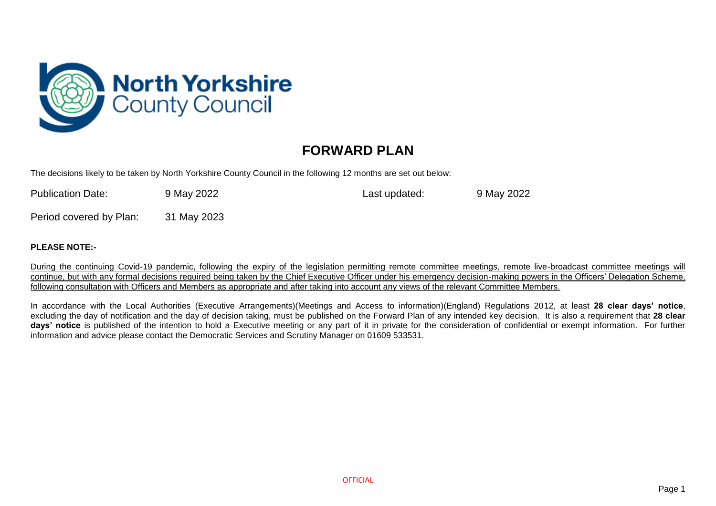

## **FORWARD PLAN**

The decisions likely to be taken by North Yorkshire County Council in the following 12 months are set out below:

| <b>Publication Date:</b> | 9 May 2022 | Last updated: | 9 May 2022 |
|--------------------------|------------|---------------|------------|
|                          |            |               |            |

Period covered by Plan: 31 May 2023

## **PLEASE NOTE:-**

During the continuing Covid-19 pandemic, following the expiry of the legislation permitting remote committee meetings, remote live-broadcast committee meetings will continue, but with any formal decisions required being taken by the Chief Executive Officer under his emergency decision-making powers in the Officers' Delegation Scheme, following consultation with Officers and Members as appropriate and after taking into account any views of the relevant Committee Members.

In accordance with the Local Authorities (Executive Arrangements)(Meetings and Access to information)(England) Regulations 2012, at least **28 clear days' notice**, excluding the day of notification and the day of decision taking, must be published on the Forward Plan of any intended key decision. It is also a requirement that **28 clear days' notice** is published of the intention to hold a Executive meeting or any part of it in private for the consideration of confidential or exempt information. For further information and advice please contact the Democratic Services and Scrutiny Manager on 01609 533531.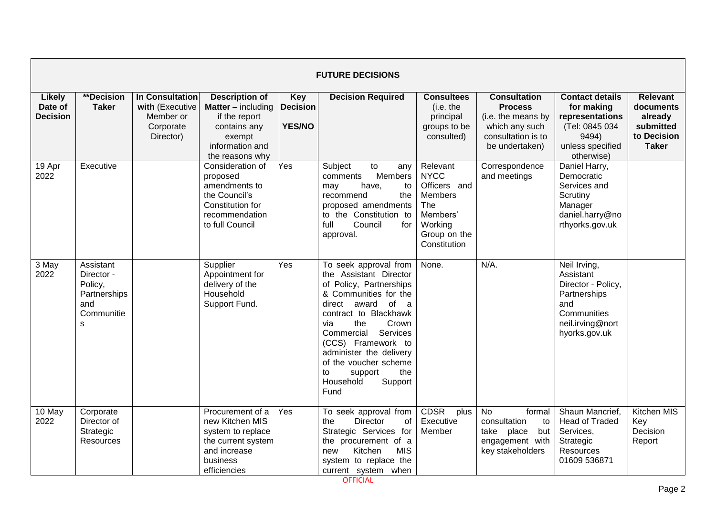|                                             | <b>FUTURE DECISIONS</b>                                                                 |                                                                                  |                                                                                                                                       |                                                |                                                                                                                                                                                                                                                                                                                                      |                                                                                                                         |                                                                                                                       |                                                                                                                            |                                                                                     |  |  |  |
|---------------------------------------------|-----------------------------------------------------------------------------------------|----------------------------------------------------------------------------------|---------------------------------------------------------------------------------------------------------------------------------------|------------------------------------------------|--------------------------------------------------------------------------------------------------------------------------------------------------------------------------------------------------------------------------------------------------------------------------------------------------------------------------------------|-------------------------------------------------------------------------------------------------------------------------|-----------------------------------------------------------------------------------------------------------------------|----------------------------------------------------------------------------------------------------------------------------|-------------------------------------------------------------------------------------|--|--|--|
| <b>Likely</b><br>Date of<br><b>Decision</b> | <b>**Decision</b><br><b>Taker</b>                                                       | <b>In Consultation</b><br>with (Executive<br>Member or<br>Corporate<br>Director) | <b>Description of</b><br><b>Matter</b> $-$ including<br>if the report<br>contains any<br>exempt<br>information and<br>the reasons why | <b>Key</b><br><b>Decision</b><br><b>YES/NO</b> | <b>Decision Required</b>                                                                                                                                                                                                                                                                                                             | <b>Consultees</b><br>(i.e. the<br>principal<br>groups to be<br>consulted)                                               | <b>Consultation</b><br><b>Process</b><br>(i.e. the means by<br>which any such<br>consultation is to<br>be undertaken) | <b>Contact details</b><br>for making<br>representations<br>(Tel: 0845 034<br>9494)<br>unless specified<br>otherwise)       | <b>Relevant</b><br>documents<br>already<br>submitted<br>to Decision<br><b>Taker</b> |  |  |  |
| 19 Apr<br>2022                              | Executive                                                                               |                                                                                  | Consideration of<br>proposed<br>amendments to<br>the Council's<br>Constitution for<br>recommendation<br>to full Council               | Yes                                            | Subject<br>to<br>any<br>Members<br>comments<br>have,<br>may<br>to<br>recommend<br>the<br>proposed amendments<br>to the Constitution to<br>full<br>Council<br>for<br>approval.                                                                                                                                                        | Relevant<br><b>NYCC</b><br>Officers and<br><b>Members</b><br>The<br>Members'<br>Working<br>Group on the<br>Constitution | Correspondence<br>and meetings                                                                                        | Daniel Harry,<br>Democratic<br>Services and<br>Scrutiny<br>Manager<br>daniel.harry@no<br>rthyorks.gov.uk                   |                                                                                     |  |  |  |
| 3 May<br>2022                               | Assistant<br>Director -<br>Policy,<br>Partnerships<br>and<br>Communitie<br>$\mathsf{s}$ |                                                                                  | Supplier<br>Appointment for<br>delivery of the<br>Household<br>Support Fund.                                                          | Yes                                            | To seek approval from<br>the Assistant Director<br>of Policy, Partnerships<br>& Communities for the<br>direct award of a<br>contract to Blackhawk<br>via<br>the<br>Crown<br>Commercial<br>Services<br>(CCS) Framework to<br>administer the delivery<br>of the voucher scheme<br>to<br>support<br>the<br>Household<br>Support<br>Fund | None.                                                                                                                   | $N/A$ .                                                                                                               | Neil Irving,<br>Assistant<br>Director - Policy,<br>Partnerships<br>and<br>Communities<br>neil.irving@nort<br>hyorks.gov.uk |                                                                                     |  |  |  |
| 10 May<br>2022                              | Corporate<br>Director of<br>Strategic<br>Resources                                      |                                                                                  | Procurement of a<br>new Kitchen MIS<br>system to replace<br>the current system<br>and increase<br>business<br>efficiencies            | Yes                                            | To seek approval from<br><b>Director</b><br>of<br>the<br>Strategic Services for<br>the procurement of a<br><b>MIS</b><br>Kitchen<br>new<br>system to replace the<br>current system when                                                                                                                                              | <b>CDSR</b><br>plus<br>Executive<br>Member                                                                              | <b>No</b><br>formal<br>consultation<br>to<br>but<br>take<br>place<br>engagement with<br>key stakeholders              | Shaun Mancrief,<br><b>Head of Traded</b><br>Services,<br>Strategic<br>Resources<br>01609 536871                            | Kitchen MIS<br>Key<br>Decision<br>Report                                            |  |  |  |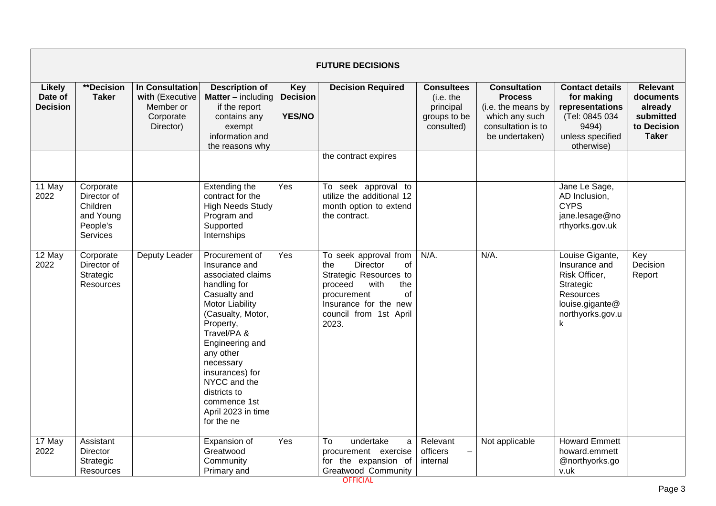|                                             | <b>FUTURE DECISIONS</b>                                                   |                                                                                  |                                                                                                                                                                                                                                                                                                              |                                         |                                                                                                                                                                                            |                                                                           |                                                                                                                       |                                                                                                                         |                                                                                     |  |  |  |
|---------------------------------------------|---------------------------------------------------------------------------|----------------------------------------------------------------------------------|--------------------------------------------------------------------------------------------------------------------------------------------------------------------------------------------------------------------------------------------------------------------------------------------------------------|-----------------------------------------|--------------------------------------------------------------------------------------------------------------------------------------------------------------------------------------------|---------------------------------------------------------------------------|-----------------------------------------------------------------------------------------------------------------------|-------------------------------------------------------------------------------------------------------------------------|-------------------------------------------------------------------------------------|--|--|--|
| <b>Likely</b><br>Date of<br><b>Decision</b> | <b>**Decision</b><br><b>Taker</b>                                         | <b>In Consultation</b><br>with (Executive<br>Member or<br>Corporate<br>Director) | <b>Description of</b><br><b>Matter</b> – including<br>if the report<br>contains any<br>exempt<br>information and<br>the reasons why                                                                                                                                                                          | Key<br><b>Decision</b><br><b>YES/NO</b> | <b>Decision Required</b>                                                                                                                                                                   | <b>Consultees</b><br>(i.e. the<br>principal<br>groups to be<br>consulted) | <b>Consultation</b><br><b>Process</b><br>(i.e. the means by<br>which any such<br>consultation is to<br>be undertaken) | <b>Contact details</b><br>for making<br>representations<br>(Tel: 0845 034<br>9494)<br>unless specified<br>otherwise)    | <b>Relevant</b><br>documents<br>already<br>submitted<br>to Decision<br><b>Taker</b> |  |  |  |
|                                             |                                                                           |                                                                                  |                                                                                                                                                                                                                                                                                                              |                                         | the contract expires                                                                                                                                                                       |                                                                           |                                                                                                                       |                                                                                                                         |                                                                                     |  |  |  |
| 11 May<br>2022                              | Corporate<br>Director of<br>Children<br>and Young<br>People's<br>Services |                                                                                  | Extending the<br>contract for the<br><b>High Needs Study</b><br>Program and<br>Supported<br>Internships                                                                                                                                                                                                      | Yes                                     | To seek approval to<br>utilize the additional 12<br>month option to extend<br>the contract.                                                                                                |                                                                           |                                                                                                                       | Jane Le Sage,<br>AD Inclusion,<br><b>CYPS</b><br>jane.lesage@no<br>rthyorks.gov.uk                                      |                                                                                     |  |  |  |
| 12 May<br>2022                              | Corporate<br>Director of<br>Strategic<br>Resources                        | Deputy Leader                                                                    | Procurement of<br>Insurance and<br>associated claims<br>handling for<br>Casualty and<br>Motor Liability<br>(Casualty, Motor,<br>Property,<br>Travel/PA &<br>Engineering and<br>any other<br>necessary<br>insurances) for<br>NYCC and the<br>districts to<br>commence 1st<br>April 2023 in time<br>for the ne | Yes                                     | To seek approval from<br><b>Director</b><br>the<br>οf<br>Strategic Resources to<br>with<br>proceed<br>the<br>οf<br>procurement<br>Insurance for the new<br>council from 1st April<br>2023. | N/A.                                                                      | N/A.                                                                                                                  | Louise Gigante,<br>Insurance and<br>Risk Officer,<br>Strategic<br>Resources<br>louise.gigante@<br>northyorks.gov.u<br>k | Key<br>Decision<br>Report                                                           |  |  |  |
| 17 May<br>2022                              | Assistant<br><b>Director</b><br>Strategic<br>Resources                    |                                                                                  | Expansion of<br>Greatwood<br>Community<br>Primary and                                                                                                                                                                                                                                                        | Yes                                     | To<br>undertake<br>a<br>procurement exercise<br>for the expansion of<br>Greatwood Community                                                                                                | Relevant<br>officers<br>-<br>internal                                     | Not applicable                                                                                                        | <b>Howard Emmett</b><br>howard.emmett<br>@northyorks.go<br>v.uk                                                         |                                                                                     |  |  |  |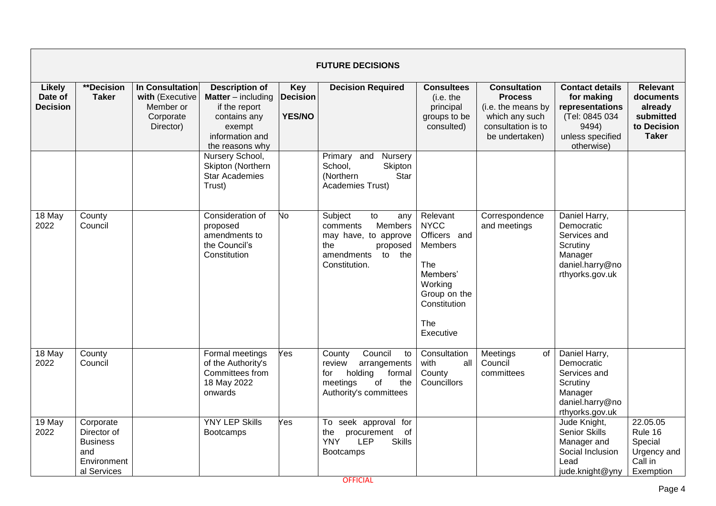|                                             |                                                                                  |                                                                           |                                                                                                                                     |                                                | <b>FUTURE DECISIONS</b>                                                                                                            |                                                                                                                                      |                                                                                                                       |                                                                                                                      |                                                                                     |
|---------------------------------------------|----------------------------------------------------------------------------------|---------------------------------------------------------------------------|-------------------------------------------------------------------------------------------------------------------------------------|------------------------------------------------|------------------------------------------------------------------------------------------------------------------------------------|--------------------------------------------------------------------------------------------------------------------------------------|-----------------------------------------------------------------------------------------------------------------------|----------------------------------------------------------------------------------------------------------------------|-------------------------------------------------------------------------------------|
| <b>Likely</b><br>Date of<br><b>Decision</b> | <b>**Decision</b><br><b>Taker</b>                                                | In Consultation<br>with (Executive<br>Member or<br>Corporate<br>Director) | <b>Description of</b><br><b>Matter</b> – including<br>if the report<br>contains any<br>exempt<br>information and<br>the reasons why | <b>Key</b><br><b>Decision</b><br><b>YES/NO</b> | <b>Decision Required</b>                                                                                                           | <b>Consultees</b><br>(i.e. the<br>principal<br>groups to be<br>consulted)                                                            | <b>Consultation</b><br><b>Process</b><br>(i.e. the means by<br>which any such<br>consultation is to<br>be undertaken) | <b>Contact details</b><br>for making<br>representations<br>(Tel: 0845 034<br>9494)<br>unless specified<br>otherwise) | <b>Relevant</b><br>documents<br>already<br>submitted<br>to Decision<br><b>Taker</b> |
|                                             |                                                                                  |                                                                           | Nursery School,<br>Skipton (Northern<br><b>Star Academies</b><br>Trust)                                                             |                                                | Primary and<br>Nursery<br>School,<br>Skipton<br>(Northern<br>Star<br>Academies Trust)                                              |                                                                                                                                      |                                                                                                                       |                                                                                                                      |                                                                                     |
| $18$ May<br>2022                            | County<br>Council                                                                |                                                                           | Consideration of<br>proposed<br>amendments to<br>the Council's<br>Constitution                                                      | No                                             | Subject<br>to<br>any<br>Members<br>comments<br>may have, to approve<br>the<br>proposed<br>to<br>the<br>amendments<br>Constitution. | Relevant<br><b>NYCC</b><br>Officers and<br>Members<br>The<br>Members'<br>Working<br>Group on the<br>Constitution<br>The<br>Executive | Correspondence<br>and meetings                                                                                        | Daniel Harry,<br>Democratic<br>Services and<br>Scrutiny<br>Manager<br>daniel.harry@no<br>rthyorks.gov.uk             |                                                                                     |
| $18$ May<br>2022                            | County<br>Council                                                                |                                                                           | Formal meetings<br>of the Authority's<br>Committees from<br>18 May 2022<br>onwards                                                  | Yes                                            | Council<br>County<br>to<br>review<br>arrangements<br>holding<br>formal<br>for<br>of<br>the<br>meetings<br>Authority's committees   | Consultation<br>with<br>all<br>County<br>Councillors                                                                                 | Meetings<br>of<br>Council<br>committees                                                                               | Daniel Harry,<br>Democratic<br>Services and<br>Scrutiny<br>Manager<br>daniel.harry@no<br>rthyorks.gov.uk             |                                                                                     |
| 19 May<br>2022                              | Corporate<br>Director of<br><b>Business</b><br>and<br>Environment<br>al Services |                                                                           | <b>YNY LEP Skills</b><br><b>Bootcamps</b>                                                                                           | Yes                                            | To seek approval for<br>procurement<br>of<br>the<br><b>YNY</b><br><b>Skills</b><br><b>LEP</b><br><b>Bootcamps</b>                  |                                                                                                                                      |                                                                                                                       | Jude Knight,<br>Senior Skills<br>Manager and<br>Social Inclusion<br>Lead<br>jude.knight@yny                          | 22.05.05<br>Rule 16<br>Special<br>Urgency and<br>Call in<br>Exemption               |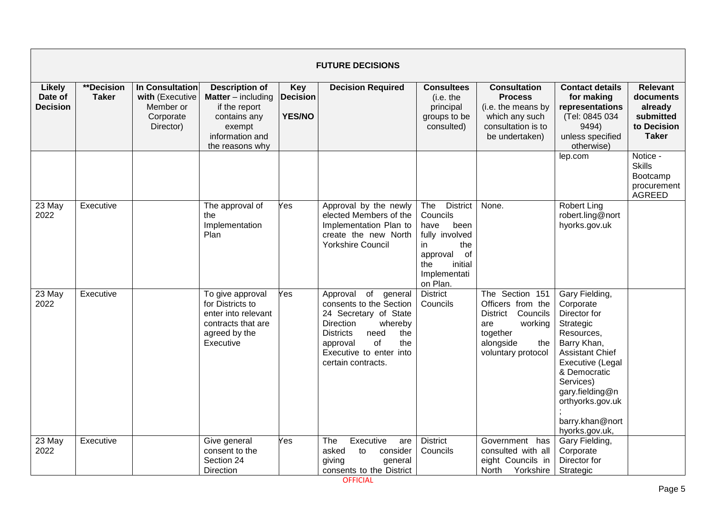|                                             | <b>FUTURE DECISIONS</b>    |                                                                           |                                                                                                                                     |                                                |                                                                                                                                                                                                                    |                                                                                                                                                   |                                                                                                                                             |                                                                                                                                                                                                                                              |                                                                                     |  |  |  |
|---------------------------------------------|----------------------------|---------------------------------------------------------------------------|-------------------------------------------------------------------------------------------------------------------------------------|------------------------------------------------|--------------------------------------------------------------------------------------------------------------------------------------------------------------------------------------------------------------------|---------------------------------------------------------------------------------------------------------------------------------------------------|---------------------------------------------------------------------------------------------------------------------------------------------|----------------------------------------------------------------------------------------------------------------------------------------------------------------------------------------------------------------------------------------------|-------------------------------------------------------------------------------------|--|--|--|
| <b>Likely</b><br>Date of<br><b>Decision</b> | **Decision<br><b>Taker</b> | In Consultation<br>with (Executive<br>Member or<br>Corporate<br>Director) | <b>Description of</b><br><b>Matter</b> – including<br>if the report<br>contains any<br>exempt<br>information and<br>the reasons why | <b>Key</b><br><b>Decision</b><br><b>YES/NO</b> | <b>Decision Required</b>                                                                                                                                                                                           | <b>Consultees</b><br>(i.e. the<br>principal<br>groups to be<br>consulted)                                                                         | <b>Consultation</b><br><b>Process</b><br>(i.e. the means by<br>which any such<br>consultation is to<br>be undertaken)                       | <b>Contact details</b><br>for making<br>representations<br>(Tel: 0845 034<br>9494)<br>unless specified<br>otherwise)                                                                                                                         | <b>Relevant</b><br>documents<br>already<br>submitted<br>to Decision<br><b>Taker</b> |  |  |  |
|                                             |                            |                                                                           |                                                                                                                                     |                                                |                                                                                                                                                                                                                    |                                                                                                                                                   |                                                                                                                                             | lep.com                                                                                                                                                                                                                                      | Notice -<br><b>Skills</b><br>Bootcamp<br>procurement<br><b>AGREED</b>               |  |  |  |
| 23 May<br>2022                              | Executive                  |                                                                           | The approval of<br>the<br>Implementation<br>Plan                                                                                    | Yes                                            | Approval by the newly<br>elected Members of the<br>Implementation Plan to<br>create the new North<br><b>Yorkshire Council</b>                                                                                      | The<br><b>District</b><br>Councils<br>been<br>have<br>fully involved<br>in<br>the<br>of<br>approval<br>initial<br>the<br>Implementati<br>on Plan. | None.                                                                                                                                       | Robert Ling<br>robert.ling@nort<br>hyorks.gov.uk                                                                                                                                                                                             |                                                                                     |  |  |  |
| 23 May<br>2022                              | Executive                  |                                                                           | To give approval<br>for Districts to<br>enter into relevant<br>contracts that are<br>agreed by the<br>Executive                     | Yes                                            | Approval<br>of<br>general<br>consents to the Section<br>24 Secretary of State<br>Direction<br>whereby<br><b>Districts</b><br>need<br>the<br>of<br>approval<br>the<br>Executive to enter into<br>certain contracts. | <b>District</b><br>Councils                                                                                                                       | The Section 151<br>Officers from the<br>Councils<br><b>District</b><br>working<br>are<br>together<br>alongside<br>the<br>voluntary protocol | Gary Fielding,<br>Corporate<br>Director for<br>Strategic<br>Resources,<br>Barry Khan,<br><b>Assistant Chief</b><br>Executive (Legal<br>& Democratic<br>Services)<br>gary.fielding@n<br>orthyorks.gov.uk<br>barry.khan@nort<br>hyorks.gov.uk, |                                                                                     |  |  |  |
| 23 May<br>2022                              | Executive                  |                                                                           | Give general<br>consent to the<br>Section 24<br>Direction                                                                           | Yes                                            | The<br>Executive<br>are<br>asked<br>to<br>consider<br>giving<br>general<br>consents to the District                                                                                                                | <b>District</b><br>Councils                                                                                                                       | Government<br>has<br>consulted with all<br>eight Councils in<br>North<br>Yorkshire                                                          | Gary Fielding,<br>Corporate<br>Director for<br>Strategic                                                                                                                                                                                     |                                                                                     |  |  |  |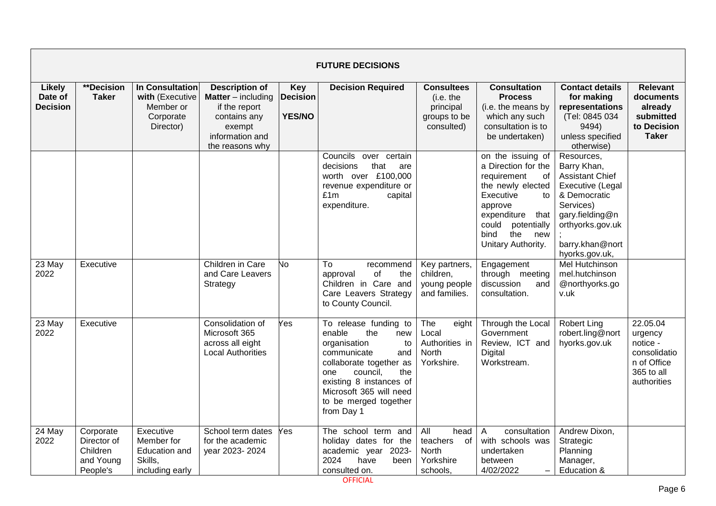|                                             | <b>FUTURE DECISIONS</b>                                       |                                                                           |                                                                                                                                     |                                                |                                                                                                                                                                                                                                             |                                                                                     |                                                                                                                                                                                                             |                                                                                                                                                                                  |                                                                                             |  |  |
|---------------------------------------------|---------------------------------------------------------------|---------------------------------------------------------------------------|-------------------------------------------------------------------------------------------------------------------------------------|------------------------------------------------|---------------------------------------------------------------------------------------------------------------------------------------------------------------------------------------------------------------------------------------------|-------------------------------------------------------------------------------------|-------------------------------------------------------------------------------------------------------------------------------------------------------------------------------------------------------------|----------------------------------------------------------------------------------------------------------------------------------------------------------------------------------|---------------------------------------------------------------------------------------------|--|--|
| <b>Likely</b><br>Date of<br><b>Decision</b> | **Decision<br><b>Taker</b>                                    | In Consultation<br>with (Executive<br>Member or<br>Corporate<br>Director) | <b>Description of</b><br><b>Matter</b> – including<br>if the report<br>contains any<br>exempt<br>information and<br>the reasons why | <b>Key</b><br><b>Decision</b><br><b>YES/NO</b> | <b>Decision Required</b>                                                                                                                                                                                                                    | <b>Consultees</b><br>(i.e. the<br>principal<br>groups to be<br>consulted)           | <b>Consultation</b><br><b>Process</b><br>(i.e. the means by<br>which any such<br>consultation is to<br>be undertaken)                                                                                       | <b>Contact details</b><br>for making<br>representations<br>(Tel: 0845 034<br>9494)<br>unless specified<br>otherwise)                                                             | <b>Relevant</b><br>documents<br>already<br>submitted<br>to Decision<br><b>Taker</b>         |  |  |
|                                             |                                                               |                                                                           |                                                                                                                                     |                                                | Councils<br>over certain<br>that<br>decisions<br>are<br>worth over £100,000<br>revenue expenditure or<br>£1m<br>capital<br>expenditure.                                                                                                     |                                                                                     | on the issuing of<br>a Direction for the<br>requirement<br>оf<br>the newly elected<br>Executive<br>to<br>approve<br>expenditure<br>that<br>could<br>potentially<br>bind<br>the<br>new<br>Unitary Authority. | Resources,<br>Barry Khan,<br><b>Assistant Chief</b><br>Executive (Legal<br>& Democratic<br>Services)<br>gary.fielding@n<br>orthyorks.gov.uk<br>barry.khan@nort<br>hyorks.gov.uk, |                                                                                             |  |  |
| 23 May<br>2022                              | Executive                                                     |                                                                           | Children in Care<br>and Care Leavers<br>Strategy                                                                                    | No                                             | To<br>recommend<br>of<br>approval<br>the<br>Children in Care and<br>Care Leavers Strategy<br>to County Council.                                                                                                                             | Key partners,<br>children,<br>young people<br>and families.                         | Engagement<br>through meeting<br>discussion<br>and<br>consultation.                                                                                                                                         | <b>Mel Hutchinson</b><br>mel.hutchinson<br>@northyorks.go<br>v.uk                                                                                                                |                                                                                             |  |  |
| 23 May<br>2022                              | Executive                                                     |                                                                           | Consolidation of<br>Microsoft 365<br>across all eight<br><b>Local Authorities</b>                                                   | Yes                                            | To release funding to<br>enable<br>the<br>new<br>organisation<br>to<br>communicate<br>and<br>collaborate together as<br>council,<br>the<br>one<br>existing 8 instances of<br>Microsoft 365 will need<br>to be merged together<br>from Day 1 | The<br>eight<br>Local<br>Authorities in<br>North<br>Yorkshire.                      | Through the Local<br>Government<br>Review, ICT and<br>Digital<br>Workstream.                                                                                                                                | <b>Robert Ling</b><br>robert.ling@nort<br>hyorks.gov.uk                                                                                                                          | 22.05.04<br>urgency<br>notice -<br>consolidatio<br>n of Office<br>365 to all<br>authorities |  |  |
| 24 May<br>2022                              | Corporate<br>Director of<br>Children<br>and Young<br>People's | Executive<br>Member for<br>Education and<br>Skills,<br>including early    | School term dates<br>for the academic<br>year 2023-2024                                                                             | Yes                                            | The school term and<br>holiday dates for the<br>academic year 2023-<br>2024<br>have<br>been<br>consulted on.                                                                                                                                | $\overline{All}$<br>head<br>teachers<br>of<br><b>North</b><br>Yorkshire<br>schools. | consultation<br>A<br>with schools was<br>undertaken<br>between<br>4/02/2022<br>$\qquad \qquad -$                                                                                                            | Andrew Dixon,<br>Strategic<br>Planning<br>Manager,<br>Education &                                                                                                                |                                                                                             |  |  |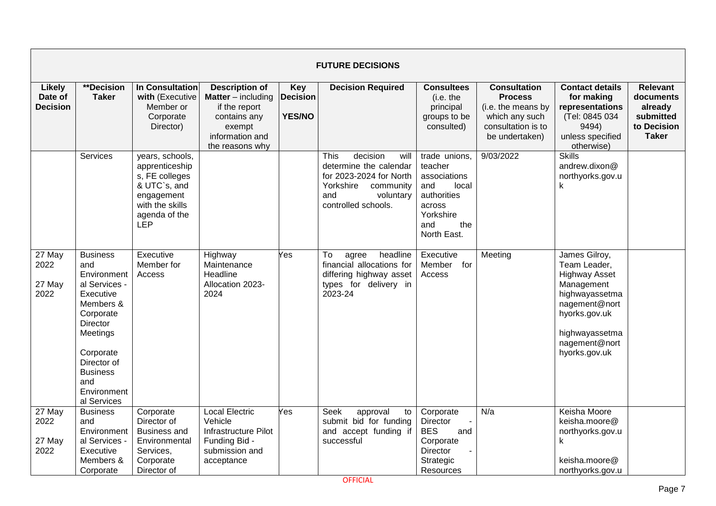|                                             | <b>FUTURE DECISIONS</b>                                                                                                                                                                                   |                                                                                                                                     |                                                                                                                                       |                                                |                                                                                                                                                           |                                                                                                                             |                                                                                                                       |                                                                                                                                                                             |                                                                                     |  |  |
|---------------------------------------------|-----------------------------------------------------------------------------------------------------------------------------------------------------------------------------------------------------------|-------------------------------------------------------------------------------------------------------------------------------------|---------------------------------------------------------------------------------------------------------------------------------------|------------------------------------------------|-----------------------------------------------------------------------------------------------------------------------------------------------------------|-----------------------------------------------------------------------------------------------------------------------------|-----------------------------------------------------------------------------------------------------------------------|-----------------------------------------------------------------------------------------------------------------------------------------------------------------------------|-------------------------------------------------------------------------------------|--|--|
| <b>Likely</b><br>Date of<br><b>Decision</b> | **Decision<br><b>Taker</b>                                                                                                                                                                                | In Consultation<br>with (Executive<br>Member or<br>Corporate<br>Director)                                                           | <b>Description of</b><br><b>Matter</b> $-$ including<br>if the report<br>contains any<br>exempt<br>information and<br>the reasons why | <b>Key</b><br><b>Decision</b><br><b>YES/NO</b> | <b>Decision Required</b>                                                                                                                                  | <b>Consultees</b><br>(i.e. the<br>principal<br>groups to be<br>consulted)                                                   | <b>Consultation</b><br><b>Process</b><br>(i.e. the means by<br>which any such<br>consultation is to<br>be undertaken) | <b>Contact details</b><br>for making<br>representations<br>(Tel: 0845 034<br>9494)<br>unless specified<br>otherwise)                                                        | <b>Relevant</b><br>documents<br>already<br>submitted<br>to Decision<br><b>Taker</b> |  |  |
|                                             | Services                                                                                                                                                                                                  | years, schools,<br>apprenticeship<br>s, FE colleges<br>& UTC`s, and<br>engagement<br>with the skills<br>agenda of the<br><b>LEP</b> |                                                                                                                                       |                                                | <b>This</b><br>decision<br>will<br>determine the calendar<br>for 2023-2024 for North<br>Yorkshire<br>community<br>and<br>voluntary<br>controlled schools. | trade unions,<br>teacher<br>associations<br>and<br>local<br>authorities<br>across<br>Yorkshire<br>the<br>and<br>North East. | 9/03/2022                                                                                                             | <b>Skills</b><br>andrew.dixon@<br>northyorks.gov.u<br>k                                                                                                                     |                                                                                     |  |  |
| 27 May<br>2022<br>27 May<br>2022            | <b>Business</b><br>and<br>Environment<br>al Services -<br>Executive<br>Members &<br>Corporate<br>Director<br>Meetings<br>Corporate<br>Director of<br><b>Business</b><br>and<br>Environment<br>al Services | Executive<br>Member for<br>Access                                                                                                   | Highway<br>Maintenance<br>Headline<br>Allocation 2023-<br>2024                                                                        | Yes                                            | To<br>agree<br>headline<br>financial allocations for<br>differing highway asset<br>types for delivery in<br>2023-24                                       | Executive<br>Member<br>for<br>Access                                                                                        | Meeting                                                                                                               | James Gilroy,<br>Team Leader,<br><b>Highway Asset</b><br>Management<br>highwayassetma<br>nagement@nort<br>hyorks.gov.uk<br>highwayassetma<br>nagement@nort<br>hyorks.gov.uk |                                                                                     |  |  |
| 27 May<br>2022<br>27 May<br>2022            | <b>Business</b><br>and<br>Environment<br>al Services -<br>Executive<br>Members &<br>Corporate                                                                                                             | Corporate<br>Director of<br><b>Business and</b><br>Environmental<br>Services,<br>Corporate<br>Director of                           | <b>Local Electric</b><br>Vehicle<br>Infrastructure Pilot<br>Funding Bid -<br>submission and<br>acceptance                             | Yes                                            | Seek<br>approval<br>to<br>submit bid for funding<br>and accept funding if<br>successful                                                                   | Corporate<br>Director<br><b>BES</b><br>and<br>Corporate<br>Director<br>Strategic<br>Resources                               | N/a                                                                                                                   | Keisha Moore<br>keisha.moore@<br>northyorks.gov.u<br>k<br>keisha.moore@<br>northyorks.gov.u                                                                                 |                                                                                     |  |  |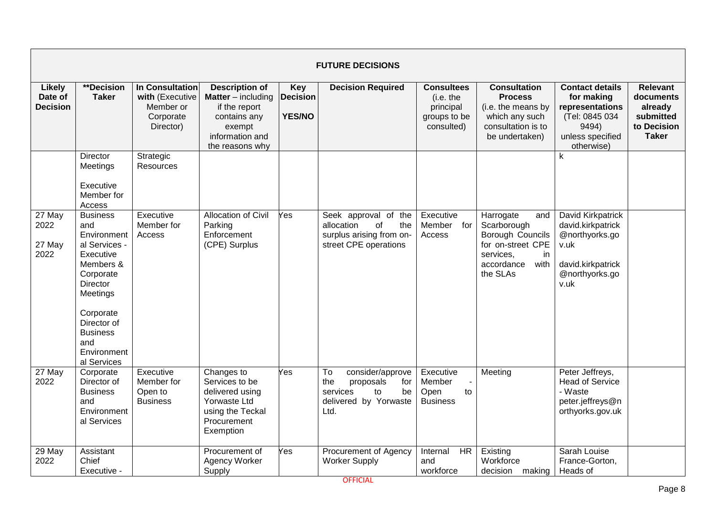|                                             | <b>FUTURE DECISIONS</b>                                                                                                                                                                                   |                                                                                  |                                                                                                                                     |                                                |                                                                                                            |                                                                           |                                                                                                                               |                                                                                                                      |                                                                                     |  |  |
|---------------------------------------------|-----------------------------------------------------------------------------------------------------------------------------------------------------------------------------------------------------------|----------------------------------------------------------------------------------|-------------------------------------------------------------------------------------------------------------------------------------|------------------------------------------------|------------------------------------------------------------------------------------------------------------|---------------------------------------------------------------------------|-------------------------------------------------------------------------------------------------------------------------------|----------------------------------------------------------------------------------------------------------------------|-------------------------------------------------------------------------------------|--|--|
| <b>Likely</b><br>Date of<br><b>Decision</b> | **Decision<br><b>Taker</b>                                                                                                                                                                                | <b>In Consultation</b><br>with (Executive<br>Member or<br>Corporate<br>Director) | <b>Description of</b><br><b>Matter</b> – including<br>if the report<br>contains any<br>exempt<br>information and<br>the reasons why | <b>Key</b><br><b>Decision</b><br><b>YES/NO</b> | <b>Decision Required</b>                                                                                   | <b>Consultees</b><br>(i.e. the<br>principal<br>groups to be<br>consulted) | <b>Consultation</b><br><b>Process</b><br>(i.e. the means by<br>which any such<br>consultation is to<br>be undertaken)         | <b>Contact details</b><br>for making<br>representations<br>(Tel: 0845 034<br>9494)<br>unless specified<br>otherwise) | <b>Relevant</b><br>documents<br>already<br>submitted<br>to Decision<br><b>Taker</b> |  |  |
|                                             | Director<br>Meetings<br>Executive<br>Member for<br>Access                                                                                                                                                 | Strategic<br>Resources                                                           |                                                                                                                                     |                                                |                                                                                                            |                                                                           |                                                                                                                               | $\mathsf k$                                                                                                          |                                                                                     |  |  |
| 27 May<br>2022<br>27 May<br>2022            | <b>Business</b><br>and<br>Environment<br>al Services -<br>Executive<br>Members &<br>Corporate<br>Director<br>Meetings<br>Corporate<br>Director of<br><b>Business</b><br>and<br>Environment<br>al Services | Executive<br>Member for<br>Access                                                | <b>Allocation of Civil</b><br>Parking<br>Enforcement<br>(CPE) Surplus                                                               | Yes                                            | Seek approval of the<br>allocation<br>of<br>the<br>surplus arising from on-<br>street CPE operations       | Executive<br>Member<br>for<br>Access                                      | Harrogate<br>and<br>Scarborough<br>Borough Councils<br>for on-street CPE<br>services,<br>in<br>accordance<br>with<br>the SLAs | David Kirkpatrick<br>david.kirkpatrick<br>@northyorks.go<br>v.uk<br>david.kirkpatrick<br>@northyorks.go<br>v.uk      |                                                                                     |  |  |
| 27 May<br>2022                              | Corporate<br>Director of<br><b>Business</b><br>and<br>Environment<br>al Services                                                                                                                          | Executive<br>Member for<br>Open to<br><b>Business</b>                            | Changes to<br>Services to be<br>delivered using<br>Yorwaste Ltd<br>using the Teckal<br>Procurement<br>Exemption                     | Yes                                            | To<br>consider/approve<br>the<br>proposals<br>for<br>services<br>be<br>to<br>delivered by Yorwaste<br>Ltd. | Executive<br>Member<br>Open<br>to<br><b>Business</b>                      | Meeting                                                                                                                       | Peter Jeffreys,<br><b>Head of Service</b><br>- Waste<br>peter.jeffreys@n<br>orthyorks.gov.uk                         |                                                                                     |  |  |
| 29 May<br>2022                              | Assistant<br>Chief<br>Executive -                                                                                                                                                                         |                                                                                  | Procurement of<br>Agency Worker<br>Supply                                                                                           | Yes                                            | Procurement of Agency<br><b>Worker Supply</b>                                                              | Internal<br><b>HR</b><br>and<br>workforce                                 | Existing<br>Workforce<br>decision making                                                                                      | Sarah Louise<br>France-Gorton,<br>Heads of                                                                           |                                                                                     |  |  |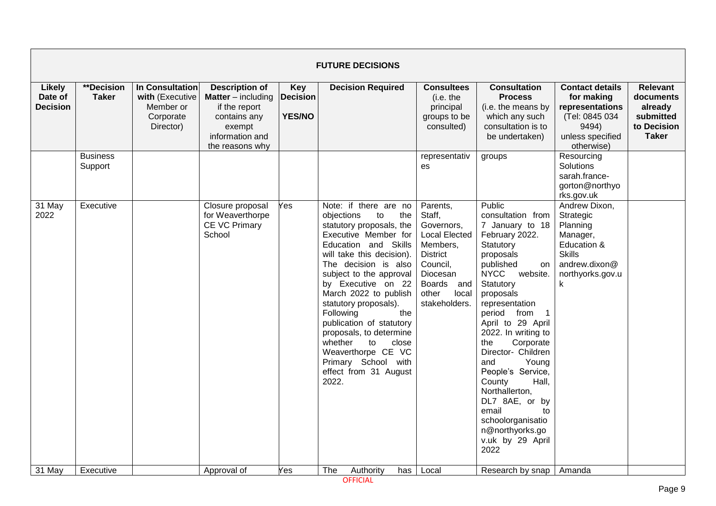|                                             | <b>FUTURE DECISIONS</b>    |                                                                           |                                                                                                                                       |                                                |                                                                                                                                                                                                                                                                                                                                                                                                                                                                          |                                                                                                                                                                            |                                                                                                                                                                                                                                                                                                                                                                                                                                                                                            |                                                                                                                              |                                                                                     |  |  |  |  |
|---------------------------------------------|----------------------------|---------------------------------------------------------------------------|---------------------------------------------------------------------------------------------------------------------------------------|------------------------------------------------|--------------------------------------------------------------------------------------------------------------------------------------------------------------------------------------------------------------------------------------------------------------------------------------------------------------------------------------------------------------------------------------------------------------------------------------------------------------------------|----------------------------------------------------------------------------------------------------------------------------------------------------------------------------|--------------------------------------------------------------------------------------------------------------------------------------------------------------------------------------------------------------------------------------------------------------------------------------------------------------------------------------------------------------------------------------------------------------------------------------------------------------------------------------------|------------------------------------------------------------------------------------------------------------------------------|-------------------------------------------------------------------------------------|--|--|--|--|
| <b>Likely</b><br>Date of<br><b>Decision</b> | **Decision<br><b>Taker</b> | In Consultation<br>with (Executive<br>Member or<br>Corporate<br>Director) | <b>Description of</b><br><b>Matter</b> $-$ including<br>if the report<br>contains any<br>exempt<br>information and<br>the reasons why | <b>Key</b><br><b>Decision</b><br><b>YES/NO</b> | <b>Decision Required</b>                                                                                                                                                                                                                                                                                                                                                                                                                                                 | <b>Consultees</b><br>(i.e. the<br>principal<br>groups to be<br>consulted)                                                                                                  | <b>Consultation</b><br><b>Process</b><br>(i.e. the means by<br>which any such<br>consultation is to<br>be undertaken)                                                                                                                                                                                                                                                                                                                                                                      | <b>Contact details</b><br>for making<br>representations<br>(Tel: 0845 034<br>9494)<br>unless specified<br>otherwise)         | <b>Relevant</b><br>documents<br>already<br>submitted<br>to Decision<br><b>Taker</b> |  |  |  |  |
|                                             | <b>Business</b><br>Support |                                                                           |                                                                                                                                       |                                                |                                                                                                                                                                                                                                                                                                                                                                                                                                                                          | representativ<br>es                                                                                                                                                        | groups                                                                                                                                                                                                                                                                                                                                                                                                                                                                                     | Resourcing<br>Solutions<br>sarah.france-<br>gorton@northyo<br>rks.gov.uk                                                     |                                                                                     |  |  |  |  |
| 31 May<br>2022                              | Executive                  |                                                                           | Closure proposal<br>for Weaverthorpe<br>CE VC Primary<br>School                                                                       | Yes                                            | Note: if there are no<br>objections<br>to<br>the<br>statutory proposals, the<br>Executive Member for<br>Education and Skills<br>will take this decision).<br>The decision is also<br>subject to the approval<br>by Executive on 22<br>March 2022 to publish<br>statutory proposals).<br>Following<br>the<br>publication of statutory<br>proposals, to determine<br>whether<br>to<br>close<br>Weaverthorpe CE VC<br>Primary School with<br>effect from 31 August<br>2022. | Parents,<br>Staff,<br>Governors,<br><b>Local Elected</b><br>Members,<br><b>District</b><br>Council,<br>Diocesan<br><b>Boards</b><br>and<br>other<br>local<br>stakeholders. | Public<br>consultation from<br>7 January to 18<br>February 2022.<br>Statutory<br>proposals<br>published<br>on<br><b>NYCC</b><br>website.<br>Statutory<br>proposals<br>representation<br>period from<br>$\overline{1}$<br>April to 29 April<br>2022. In writing to<br>the<br>Corporate<br>Director- Children<br>Young<br>and<br>People's Service,<br>County<br>Hall,<br>Northallerton,<br>DL7 8AE, or by<br>email<br>to<br>schoolorganisatio<br>n@northyorks.go<br>v.uk by 29 April<br>2022 | Andrew Dixon,<br>Strategic<br>Planning<br>Manager,<br>Education &<br><b>Skills</b><br>andrew.dixon@<br>northyorks.gov.u<br>k |                                                                                     |  |  |  |  |
| 31 May                                      | Executive                  |                                                                           | Approval of                                                                                                                           | Yes                                            | The<br>Authority<br>has                                                                                                                                                                                                                                                                                                                                                                                                                                                  | Local                                                                                                                                                                      | Research by snap                                                                                                                                                                                                                                                                                                                                                                                                                                                                           | Amanda                                                                                                                       |                                                                                     |  |  |  |  |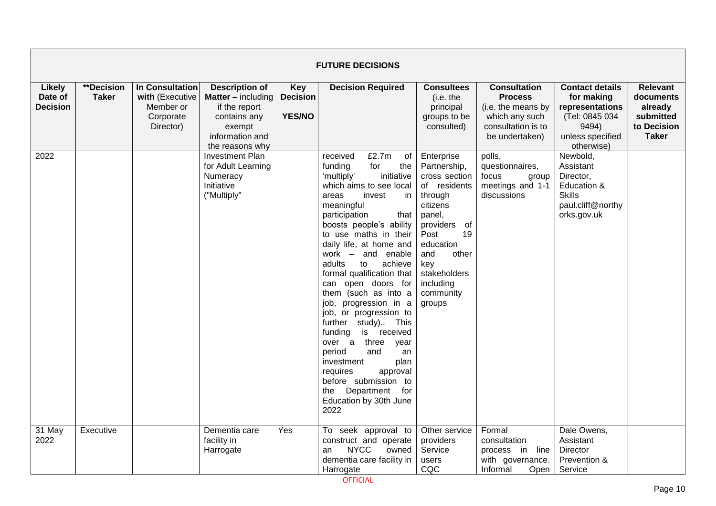|                                             | <b>FUTURE DECISIONS</b>           |                                                                           |                                                                                                                                       |                                                |                                                                                                                                                                                                                                                                                                                                                                                                                                                                                                                                                                                                                                                                             |                                                                                                                                                                                                                       |                                                                                                                       |                                                                                                                      |                                                                                     |  |  |  |
|---------------------------------------------|-----------------------------------|---------------------------------------------------------------------------|---------------------------------------------------------------------------------------------------------------------------------------|------------------------------------------------|-----------------------------------------------------------------------------------------------------------------------------------------------------------------------------------------------------------------------------------------------------------------------------------------------------------------------------------------------------------------------------------------------------------------------------------------------------------------------------------------------------------------------------------------------------------------------------------------------------------------------------------------------------------------------------|-----------------------------------------------------------------------------------------------------------------------------------------------------------------------------------------------------------------------|-----------------------------------------------------------------------------------------------------------------------|----------------------------------------------------------------------------------------------------------------------|-------------------------------------------------------------------------------------|--|--|--|
| <b>Likely</b><br>Date of<br><b>Decision</b> | <b>**Decision</b><br><b>Taker</b> | In Consultation<br>with (Executive<br>Member or<br>Corporate<br>Director) | <b>Description of</b><br><b>Matter</b> $-$ including<br>if the report<br>contains any<br>exempt<br>information and<br>the reasons why | <b>Key</b><br><b>Decision</b><br><b>YES/NO</b> | <b>Decision Required</b>                                                                                                                                                                                                                                                                                                                                                                                                                                                                                                                                                                                                                                                    | <b>Consultees</b><br>(i.e. the<br>principal<br>groups to be<br>consulted)                                                                                                                                             | <b>Consultation</b><br><b>Process</b><br>(i.e. the means by<br>which any such<br>consultation is to<br>be undertaken) | <b>Contact details</b><br>for making<br>representations<br>(Tel: 0845 034<br>9494)<br>unless specified<br>otherwise) | <b>Relevant</b><br>documents<br>already<br>submitted<br>to Decision<br><b>Taker</b> |  |  |  |
| 2022                                        |                                   |                                                                           | <b>Investment Plan</b><br>for Adult Learning<br>Numeracy<br>Initiative<br>("Multiply"                                                 |                                                | £2.7m<br>received<br>of<br>for<br>the<br>funding<br>initiative<br>'multiply'<br>which aims to see local<br>invest<br>in<br>areas<br>meaningful<br>participation<br>that<br>boosts people's ability<br>to use maths in their<br>daily life, at home and<br>work - and enable<br>achieve<br>adults<br>to<br>formal qualification that<br>can open doors for<br>them (such as into a<br>job, progression in a<br>job, or progression to<br>further study) This<br>is received<br>funding<br>over a<br>three<br>year<br>period<br>and<br>an<br>investment<br>plan<br>requires<br>approval<br>before submission to<br>Department<br>for<br>the<br>Education by 30th June<br>2022 | Enterprise<br>Partnership,<br>cross section<br>of residents<br>through<br>citizens<br>panel,<br>providers<br>of<br>19<br>Post<br>education<br>and<br>other<br>key<br>stakeholders<br>including<br>community<br>groups | polls,<br>questionnaires,<br>focus<br>group<br>meetings and 1-1<br>discussions                                        | Newbold,<br>Assistant<br>Director,<br>Education &<br><b>Skills</b><br>paul.cliff@northy<br>orks.gov.uk               |                                                                                     |  |  |  |
| 31 May<br>2022                              | Executive                         |                                                                           | Dementia care<br>facility in<br>Harrogate                                                                                             | Yes                                            | To seek approval to<br>construct and operate<br><b>NYCC</b><br>owned<br>an<br>dementia care facility in<br>Harrogate                                                                                                                                                                                                                                                                                                                                                                                                                                                                                                                                                        | Other service<br>providers<br>Service<br>users<br>CQC                                                                                                                                                                 | Formal<br>consultation<br>process in line<br>with governance.<br>Informal<br>Open                                     | Dale Owens,<br>Assistant<br><b>Director</b><br>Prevention &<br>Service                                               |                                                                                     |  |  |  |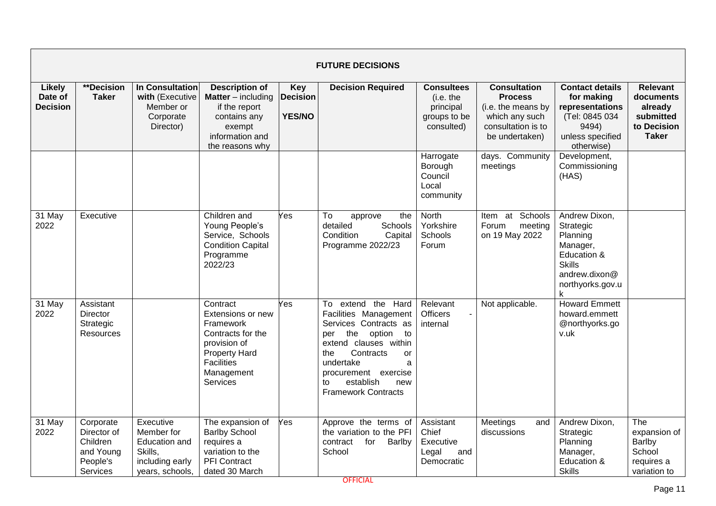|                                             | <b>FUTURE DECISIONS</b>                                                   |                                                                                           |                                                                                                                                                 |                                                |                                                                                                                                                                                                                                                            |                                                                           |                                                                                                                       |                                                                                                                              |                                                                                     |  |  |
|---------------------------------------------|---------------------------------------------------------------------------|-------------------------------------------------------------------------------------------|-------------------------------------------------------------------------------------------------------------------------------------------------|------------------------------------------------|------------------------------------------------------------------------------------------------------------------------------------------------------------------------------------------------------------------------------------------------------------|---------------------------------------------------------------------------|-----------------------------------------------------------------------------------------------------------------------|------------------------------------------------------------------------------------------------------------------------------|-------------------------------------------------------------------------------------|--|--|
| <b>Likely</b><br>Date of<br><b>Decision</b> | **Decision<br><b>Taker</b>                                                | In Consultation<br>with (Executive<br>Member or<br>Corporate<br>Director)                 | <b>Description of</b><br><b>Matter</b> – including<br>if the report<br>contains any<br>exempt<br>information and<br>the reasons why             | <b>Key</b><br><b>Decision</b><br><b>YES/NO</b> | <b>Decision Required</b>                                                                                                                                                                                                                                   | <b>Consultees</b><br>(i.e. the<br>principal<br>groups to be<br>consulted) | <b>Consultation</b><br><b>Process</b><br>(i.e. the means by<br>which any such<br>consultation is to<br>be undertaken) | <b>Contact details</b><br>for making<br>representations<br>(Tel: 0845 034<br>9494)<br>unless specified<br>otherwise)         | <b>Relevant</b><br>documents<br>already<br>submitted<br>to Decision<br><b>Taker</b> |  |  |
|                                             |                                                                           |                                                                                           |                                                                                                                                                 |                                                |                                                                                                                                                                                                                                                            | Harrogate<br>Borough<br>Council<br>Local<br>community                     | days. Community<br>meetings                                                                                           | Development,<br>Commissioning<br>(HAS)                                                                                       |                                                                                     |  |  |
| $31$ May<br>2022                            | Executive                                                                 |                                                                                           | Children and<br>Young People's<br>Service, Schools<br><b>Condition Capital</b><br>Programme<br>2022/23                                          | Yes                                            | To<br>the<br>approve<br>detailed<br>Schools<br>Condition<br>Capital<br>Programme 2022/23                                                                                                                                                                   | <b>North</b><br>Yorkshire<br>Schools<br>Forum                             | Item at Schools<br>Forum<br>meeting<br>on 19 May 2022                                                                 | Andrew Dixon,<br>Strategic<br>Planning<br>Manager,<br>Education &<br><b>Skills</b><br>andrew.dixon@<br>northyorks.gov.u<br>k |                                                                                     |  |  |
| 31 May<br>2022                              | Assistant<br>Director<br>Strategic<br>Resources                           |                                                                                           | Contract<br>Extensions or new<br>Framework<br>Contracts for the<br>provision of<br><b>Property Hard</b><br>Facilities<br>Management<br>Services | Yes                                            | the Hard<br>To extend<br>Facilities Management<br>Services Contracts as<br>the<br>option<br>to<br>per<br>extend clauses within<br>Contracts<br>the<br>or<br>undertake<br>a<br>procurement exercise<br>establish<br>new<br>to<br><b>Framework Contracts</b> | Relevant<br><b>Officers</b><br>internal                                   | Not applicable.                                                                                                       | <b>Howard Emmett</b><br>howard.emmett<br>@northyorks.go<br>v.uk                                                              |                                                                                     |  |  |
| 31 May<br>2022                              | Corporate<br>Director of<br>Children<br>and Young<br>People's<br>Services | Executive<br>Member for<br>Education and<br>Skills,<br>including early<br>years, schools, | The expansion of<br><b>Barlby School</b><br>requires a<br>variation to the<br><b>PFI</b> Contract<br>dated 30 March                             | Yes                                            | Approve the terms of<br>the variation to the PFI<br>contract<br>for<br>Barlby<br>School                                                                                                                                                                    | Assistant<br>Chief<br>Executive<br>Legal<br>and<br>Democratic             | Meetings<br>and<br>discussions                                                                                        | Andrew Dixon,<br>Strategic<br>Planning<br>Manager,<br>Education &<br><b>Skills</b>                                           | The<br>expansion of<br>Barlby<br>School<br>requires a<br>variation to               |  |  |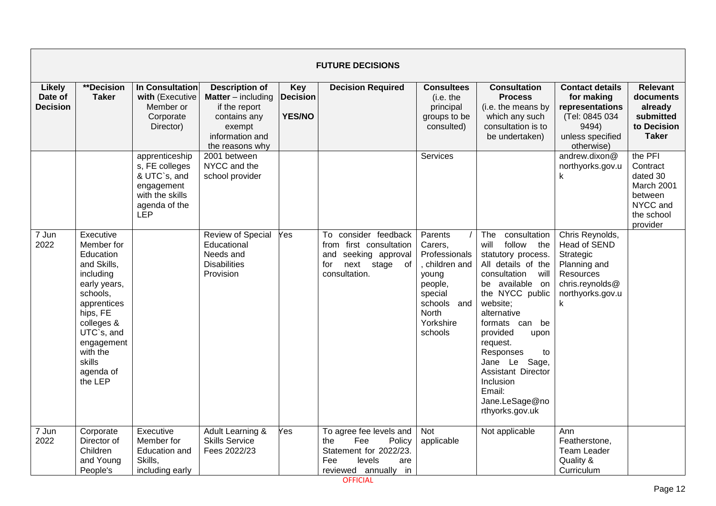|                                             |                                                                                                                                                                                                                 |                                                                                                                  |                                                                                                                                       |                                         | <b>FUTURE DECISIONS</b>                                                                                                   |                                                                                                                                              |                                                                                                                                                                                                                                                                                                                                                     |                                                                                                                       |                                                                                                |
|---------------------------------------------|-----------------------------------------------------------------------------------------------------------------------------------------------------------------------------------------------------------------|------------------------------------------------------------------------------------------------------------------|---------------------------------------------------------------------------------------------------------------------------------------|-----------------------------------------|---------------------------------------------------------------------------------------------------------------------------|----------------------------------------------------------------------------------------------------------------------------------------------|-----------------------------------------------------------------------------------------------------------------------------------------------------------------------------------------------------------------------------------------------------------------------------------------------------------------------------------------------------|-----------------------------------------------------------------------------------------------------------------------|------------------------------------------------------------------------------------------------|
| <b>Likely</b><br>Date of<br><b>Decision</b> | **Decision<br><b>Taker</b>                                                                                                                                                                                      | In Consultation<br>with (Executive<br>Member or<br>Corporate<br>Director)                                        | <b>Description of</b><br><b>Matter</b> $-$ including<br>if the report<br>contains any<br>exempt<br>information and<br>the reasons why | Key<br><b>Decision</b><br><b>YES/NO</b> | <b>Decision Required</b>                                                                                                  | <b>Consultees</b><br>(i.e. the<br>principal<br>groups to be<br>consulted)                                                                    | <b>Consultation</b><br><b>Process</b><br>(i.e. the means by<br>which any such<br>consultation is to<br>be undertaken)                                                                                                                                                                                                                               | <b>Contact details</b><br>for making<br>representations<br>(Tel: 0845 034<br>9494)<br>unless specified<br>otherwise)  | <b>Relevant</b><br>documents<br>already<br>submitted<br>to Decision<br><b>Taker</b>            |
|                                             |                                                                                                                                                                                                                 | apprenticeship<br>s, FE colleges<br>& UTC`s, and<br>engagement<br>with the skills<br>agenda of the<br><b>LEP</b> | 2001 between<br>NYCC and the<br>school provider                                                                                       |                                         |                                                                                                                           | Services                                                                                                                                     |                                                                                                                                                                                                                                                                                                                                                     | andrew.dixon@<br>northyorks.gov.u<br>k                                                                                | the PFI<br>Contract<br>dated 30<br>March 2001<br>between<br>NYCC and<br>the school<br>provider |
| 7 Jun<br>2022                               | Executive<br>Member for<br>Education<br>and Skills,<br>including<br>early years,<br>schools,<br>apprentices<br>hips, FE<br>colleges &<br>UTC`s, and<br>engagement<br>with the<br>skills<br>agenda of<br>the LEP |                                                                                                                  | Review of Special<br>Educational<br>Needs and<br><b>Disabilities</b><br>Provision                                                     | Yes                                     | To consider feedback<br>from first consultation<br>and seeking approval<br>next stage of<br>for<br>consultation.          | Parents<br>Carers,<br>Professionals<br>children and<br>young<br>people,<br>special<br>schools<br>and<br><b>North</b><br>Yorkshire<br>schools | The<br>consultation<br>follow the<br>will<br>statutory process.<br>All details of the<br>consultation will<br>be available on<br>the NYCC public<br>website;<br>alternative<br>formats can be<br>provided<br>upon<br>request.<br>Responses<br>to<br>Jane Le Sage,<br>Assistant Director<br>Inclusion<br>Email:<br>Jane.LeSage@no<br>rthyorks.gov.uk | Chris Reynolds,<br>Head of SEND<br>Strategic<br>Planning and<br>Resources<br>chris.reynolds@<br>northyorks.gov.u<br>k |                                                                                                |
| 7 Jun<br>2022                               | Corporate<br>Director of<br>Children<br>and Young<br>People's                                                                                                                                                   | Executive<br>Member for<br><b>Education and</b><br>Skills,<br>including early                                    | Adult Learning &<br><b>Skills Service</b><br>Fees 2022/23                                                                             | Yes                                     | To agree fee levels and<br>Fee<br>the<br>Policy<br>Statement for 2022/23.<br>Fee<br>levels<br>are<br>reviewed annually in | Not<br>applicable                                                                                                                            | Not applicable                                                                                                                                                                                                                                                                                                                                      | Ann<br>Featherstone,<br>Team Leader<br>Quality &<br>Curriculum                                                        |                                                                                                |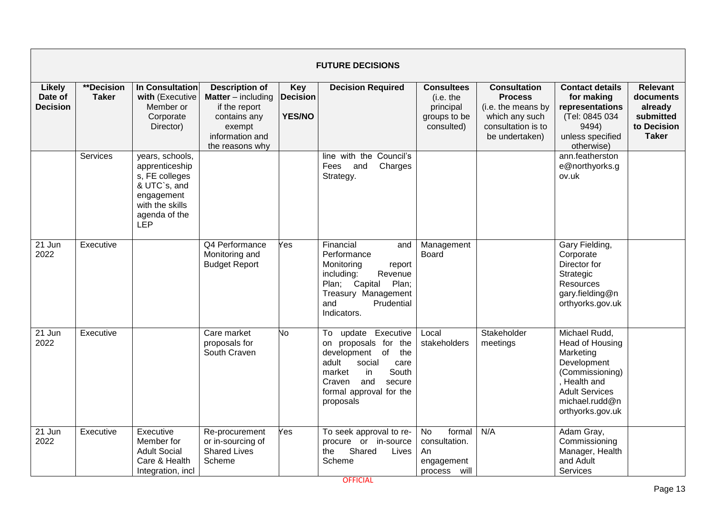|                                             | <b>FUTURE DECISIONS</b>           |                                                                                                                              |                                                                                                                                     |                                         |                                                                                                                                                                                             |                                                                           |                                                                                                                       |                                                                                                                                                                |                                                                                     |  |  |  |
|---------------------------------------------|-----------------------------------|------------------------------------------------------------------------------------------------------------------------------|-------------------------------------------------------------------------------------------------------------------------------------|-----------------------------------------|---------------------------------------------------------------------------------------------------------------------------------------------------------------------------------------------|---------------------------------------------------------------------------|-----------------------------------------------------------------------------------------------------------------------|----------------------------------------------------------------------------------------------------------------------------------------------------------------|-------------------------------------------------------------------------------------|--|--|--|
| <b>Likely</b><br>Date of<br><b>Decision</b> | <b>**Decision</b><br><b>Taker</b> | <b>In Consultation</b><br>with (Executive<br>Member or<br>Corporate<br>Director)                                             | <b>Description of</b><br><b>Matter</b> – including<br>if the report<br>contains any<br>exempt<br>information and<br>the reasons why | Key<br><b>Decision</b><br><b>YES/NO</b> | <b>Decision Required</b>                                                                                                                                                                    | <b>Consultees</b><br>(i.e. the<br>principal<br>groups to be<br>consulted) | <b>Consultation</b><br><b>Process</b><br>(i.e. the means by<br>which any such<br>consultation is to<br>be undertaken) | <b>Contact details</b><br>for making<br>representations<br>(Tel: 0845 034<br>9494)<br>unless specified<br>otherwise)                                           | <b>Relevant</b><br>documents<br>already<br>submitted<br>to Decision<br><b>Taker</b> |  |  |  |
|                                             | Services                          | years, schools,<br>apprenticeship<br>s, FE colleges<br>& UTC`s, and<br>engagement<br>with the skills<br>agenda of the<br>LEP |                                                                                                                                     |                                         | line with the Council's<br>and<br>Charges<br>Fees<br>Strategy.                                                                                                                              |                                                                           |                                                                                                                       | ann.featherston<br>e@northyorks.g<br>ov.uk                                                                                                                     |                                                                                     |  |  |  |
| 21 Jun<br>2022                              | Executive                         |                                                                                                                              | Q4 Performance<br>Monitoring and<br><b>Budget Report</b>                                                                            | Yes                                     | Financial<br>and<br>Performance<br>Monitoring<br>report<br>Revenue<br>including:<br>Plan; Capital<br>Plan;<br>Treasury Management<br>and<br>Prudential<br>Indicators.                       | Management<br><b>Board</b>                                                |                                                                                                                       | Gary Fielding,<br>Corporate<br>Director for<br>Strategic<br>Resources<br>gary.fielding@n<br>orthyorks.gov.uk                                                   |                                                                                     |  |  |  |
| 21 Jun<br>2022                              | Executive                         |                                                                                                                              | Care market<br>proposals for<br>South Craven                                                                                        | No.                                     | To update Executive<br>on proposals for the<br>development of<br>the<br>adult<br>social<br>care<br>South<br>market<br>in<br>secure<br>Craven<br>and<br>formal approval for the<br>proposals | Local<br>stakeholders                                                     | Stakeholder<br>meetings                                                                                               | Michael Rudd,<br>Head of Housing<br>Marketing<br>Development<br>(Commissioning)<br>. Health and<br><b>Adult Services</b><br>michael.rudd@n<br>orthyorks.gov.uk |                                                                                     |  |  |  |
| 21 Jun<br>2022                              | Executive                         | Executive<br>Member for<br><b>Adult Social</b><br>Care & Health<br>Integration, incl                                         | Re-procurement<br>or in-sourcing of<br><b>Shared Lives</b><br>Scheme                                                                | Yes                                     | To seek approval to re-<br>procure or in-source<br>Shared<br>the<br>Lives<br>Scheme                                                                                                         | <b>No</b><br>formal<br>consultation.<br>An<br>engagement<br>process will  | N/A                                                                                                                   | Adam Gray,<br>Commissioning<br>Manager, Health<br>and Adult<br>Services                                                                                        |                                                                                     |  |  |  |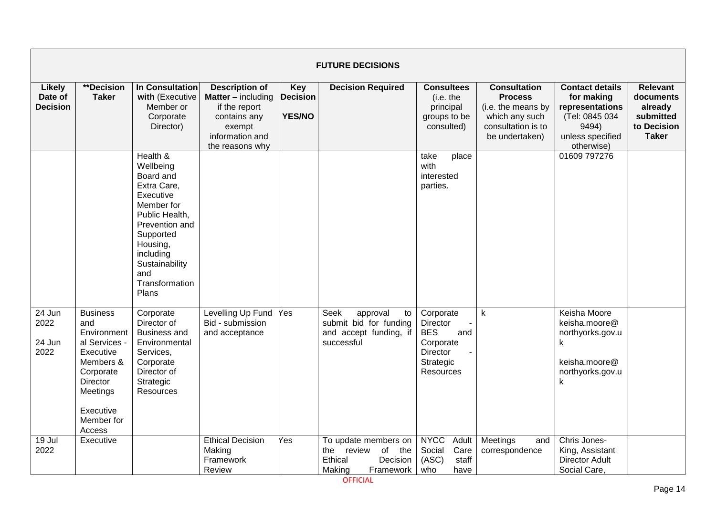|                                             | <b>FUTURE DECISIONS</b>                                                                                                                                           |                                                                                                                                                                                                            |                                                                                                                                       |                                         |                                                                                            |                                                                                               |                                                                                                                       |                                                                                                                      |                                                                                     |  |  |  |
|---------------------------------------------|-------------------------------------------------------------------------------------------------------------------------------------------------------------------|------------------------------------------------------------------------------------------------------------------------------------------------------------------------------------------------------------|---------------------------------------------------------------------------------------------------------------------------------------|-----------------------------------------|--------------------------------------------------------------------------------------------|-----------------------------------------------------------------------------------------------|-----------------------------------------------------------------------------------------------------------------------|----------------------------------------------------------------------------------------------------------------------|-------------------------------------------------------------------------------------|--|--|--|
| <b>Likely</b><br>Date of<br><b>Decision</b> | **Decision<br><b>Taker</b>                                                                                                                                        | In Consultation<br>with (Executive<br>Member or<br>Corporate<br>Director)                                                                                                                                  | <b>Description of</b><br><b>Matter</b> $-$ including<br>if the report<br>contains any<br>exempt<br>information and<br>the reasons why | Key<br><b>Decision</b><br><b>YES/NO</b> | <b>Decision Required</b>                                                                   | <b>Consultees</b><br>(i.e. the<br>principal<br>groups to be<br>consulted)                     | <b>Consultation</b><br><b>Process</b><br>(i.e. the means by<br>which any such<br>consultation is to<br>be undertaken) | <b>Contact details</b><br>for making<br>representations<br>(Tel: 0845 034<br>9494)<br>unless specified<br>otherwise) | <b>Relevant</b><br>documents<br>already<br>submitted<br>to Decision<br><b>Taker</b> |  |  |  |
|                                             |                                                                                                                                                                   | Health &<br>Wellbeing<br>Board and<br>Extra Care,<br>Executive<br>Member for<br>Public Health,<br>Prevention and<br>Supported<br>Housing,<br>including<br>Sustainability<br>and<br>Transformation<br>Plans |                                                                                                                                       |                                         |                                                                                            | take<br>place<br>with<br>interested<br>parties.                                               |                                                                                                                       | 01609 797276                                                                                                         |                                                                                     |  |  |  |
| 24 Jun<br>2022<br>24 Jun<br>2022            | <b>Business</b><br>and<br>Environment<br>al Services -<br>Executive<br>Members &<br>Corporate<br><b>Director</b><br>Meetings<br>Executive<br>Member for<br>Access | Corporate<br>Director of<br><b>Business and</b><br>Environmental<br>Services,<br>Corporate<br>Director of<br>Strategic<br>Resources                                                                        | Levelling Up Fund<br>Bid - submission<br>and acceptance                                                                               | Yes                                     | Seek<br>approval<br>to<br>submit bid for funding<br>and accept funding, if<br>successful   | Corporate<br>Director<br><b>BES</b><br>and<br>Corporate<br>Director<br>Strategic<br>Resources | $\sf k$                                                                                                               | Keisha Moore<br>keisha.moore@<br>northyorks.gov.u<br>k<br>keisha.moore@<br>northyorks.gov.u<br>k                     |                                                                                     |  |  |  |
| 19 Jul<br>2022                              | Executive                                                                                                                                                         |                                                                                                                                                                                                            | <b>Ethical Decision</b><br>Making<br>Framework<br>Review                                                                              | Yes                                     | To update members on<br>the review<br>of the<br>Ethical<br>Decision<br>Making<br>Framework | <b>NYCC</b><br>Adult<br>Social<br>Care<br>(ASC)<br>staff<br>who<br>have                       | Meetings<br>and<br>correspondence                                                                                     | Chris Jones-<br>King, Assistant<br><b>Director Adult</b><br>Social Care,                                             |                                                                                     |  |  |  |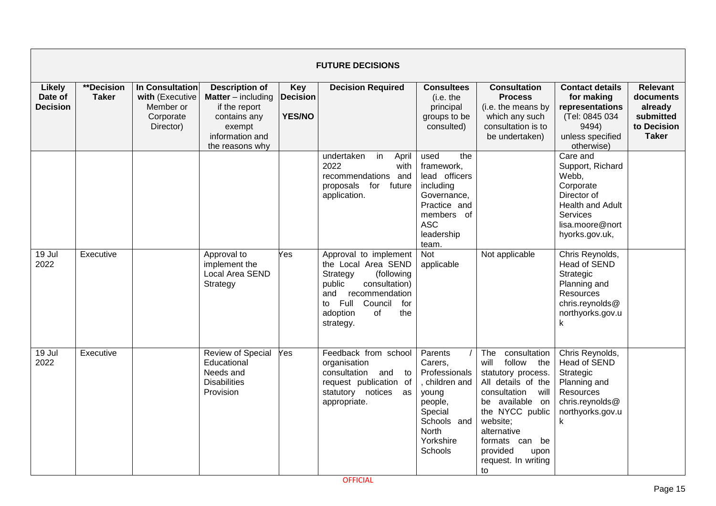|                                             | <b>FUTURE DECISIONS</b>    |                                                                           |                                                                                                                                     |                                                |                                                                                                                                                                                                  |                                                                                                                                           |                                                                                                                                                                                                                                                       |                                                                                                                                               |                                                                                     |  |  |  |
|---------------------------------------------|----------------------------|---------------------------------------------------------------------------|-------------------------------------------------------------------------------------------------------------------------------------|------------------------------------------------|--------------------------------------------------------------------------------------------------------------------------------------------------------------------------------------------------|-------------------------------------------------------------------------------------------------------------------------------------------|-------------------------------------------------------------------------------------------------------------------------------------------------------------------------------------------------------------------------------------------------------|-----------------------------------------------------------------------------------------------------------------------------------------------|-------------------------------------------------------------------------------------|--|--|--|
| <b>Likely</b><br>Date of<br><b>Decision</b> | **Decision<br><b>Taker</b> | In Consultation<br>with (Executive<br>Member or<br>Corporate<br>Director) | <b>Description of</b><br><b>Matter</b> – including<br>if the report<br>contains any<br>exempt<br>information and<br>the reasons why | <b>Key</b><br><b>Decision</b><br><b>YES/NO</b> | <b>Decision Required</b>                                                                                                                                                                         | <b>Consultees</b><br>(i.e. the<br>principal<br>groups to be<br>consulted)                                                                 | <b>Consultation</b><br><b>Process</b><br>(i.e. the means by<br>which any such<br>consultation is to<br>be undertaken)                                                                                                                                 | <b>Contact details</b><br>for making<br>representations<br>(Tel: 0845 034<br>9494)<br>unless specified<br>otherwise)                          | <b>Relevant</b><br>documents<br>already<br>submitted<br>to Decision<br><b>Taker</b> |  |  |  |
|                                             |                            |                                                                           |                                                                                                                                     |                                                | undertaken<br>in<br>April<br>2022<br>with<br>recommendations and<br>proposals<br>for future<br>application.                                                                                      | the<br>used<br>framework,<br>lead officers<br>including<br>Governance,<br>Practice and<br>members of<br><b>ASC</b><br>leadership<br>team. |                                                                                                                                                                                                                                                       | Care and<br>Support, Richard<br>Webb,<br>Corporate<br>Director of<br><b>Health and Adult</b><br>Services<br>lisa.moore@nort<br>hyorks.gov.uk, |                                                                                     |  |  |  |
| 19 Jul<br>2022                              | Executive                  |                                                                           | Approval to<br>implement the<br>Local Area SEND<br>Strategy                                                                         | Yes                                            | Approval to implement<br>the Local Area SEND<br>Strategy<br>(following<br>public<br>consultation)<br>and<br>recommendation<br>Full<br>Council<br>to<br>for<br>of<br>the<br>adoption<br>strategy. | Not<br>applicable                                                                                                                         | Not applicable                                                                                                                                                                                                                                        | Chris Reynolds,<br>Head of SEND<br>Strategic<br>Planning and<br><b>Resources</b><br>chris.reynolds@<br>northyorks.gov.u<br>k                  |                                                                                     |  |  |  |
| 19 Jul<br>2022                              | Executive                  |                                                                           | Review of Special<br>Educational<br>Needs and<br><b>Disabilities</b><br>Provision                                                   | Yes                                            | Feedback from school<br>organisation<br>consultation<br>and<br>to<br>request publication of<br>statutory notices<br>as<br>appropriate.                                                           | Parents<br>Carers,<br>Professionals<br>, children and<br>young<br>people,<br>Special<br>Schools and<br>North<br>Yorkshire<br>Schools      | consultation<br><b>The</b><br>follow the<br>will<br>statutory process.<br>All details of the<br>consultation will<br>be available on<br>the NYCC public<br>website:<br>alternative<br>formats can be<br>provided<br>upon<br>request. In writing<br>to | Chris Reynolds,<br>Head of SEND<br>Strategic<br>Planning and<br>Resources<br>chris.reynolds@<br>northyorks.gov.u<br>$\mathsf{k}$              |                                                                                     |  |  |  |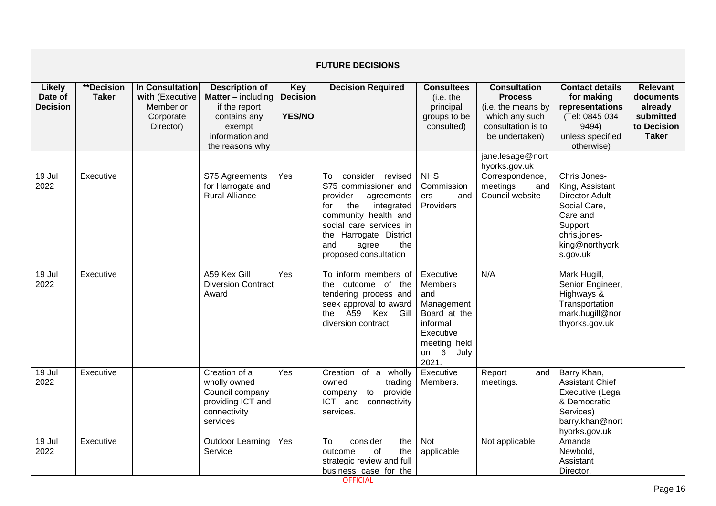|                                             | <b>FUTURE DECISIONS</b>    |                                                                           |                                                                                                                                     |                                                |                                                                                                                                                                                                                                   |                                                                                                                                 |                                                                                                                       |                                                                                                                                               |                                                                                     |  |  |  |
|---------------------------------------------|----------------------------|---------------------------------------------------------------------------|-------------------------------------------------------------------------------------------------------------------------------------|------------------------------------------------|-----------------------------------------------------------------------------------------------------------------------------------------------------------------------------------------------------------------------------------|---------------------------------------------------------------------------------------------------------------------------------|-----------------------------------------------------------------------------------------------------------------------|-----------------------------------------------------------------------------------------------------------------------------------------------|-------------------------------------------------------------------------------------|--|--|--|
| <b>Likely</b><br>Date of<br><b>Decision</b> | **Decision<br><b>Taker</b> | In Consultation<br>with (Executive<br>Member or<br>Corporate<br>Director) | <b>Description of</b><br><b>Matter</b> – including<br>if the report<br>contains any<br>exempt<br>information and<br>the reasons why | <b>Key</b><br><b>Decision</b><br><b>YES/NO</b> | <b>Decision Required</b>                                                                                                                                                                                                          | <b>Consultees</b><br>(i.e. the<br>principal<br>groups to be<br>consulted)                                                       | <b>Consultation</b><br><b>Process</b><br>(i.e. the means by<br>which any such<br>consultation is to<br>be undertaken) | <b>Contact details</b><br>for making<br>representations<br>(Tel: 0845 034<br>9494)<br>unless specified<br>otherwise)                          | <b>Relevant</b><br>documents<br>already<br>submitted<br>to Decision<br><b>Taker</b> |  |  |  |
|                                             |                            |                                                                           |                                                                                                                                     |                                                |                                                                                                                                                                                                                                   |                                                                                                                                 | jane.lesage@nort<br>hyorks.gov.uk                                                                                     |                                                                                                                                               |                                                                                     |  |  |  |
| 19 Jul<br>2022                              | Executive                  |                                                                           | S75 Agreements<br>for Harrogate and<br><b>Rural Alliance</b>                                                                        | Yes                                            | consider revised<br>To<br>S75 commissioner and<br>provider<br>agreements<br>the<br>integrated<br>for<br>community health and<br>social care services in<br>the Harrogate District<br>and<br>agree<br>the<br>proposed consultation | <b>NHS</b><br>Commission<br>ers<br>and<br>Providers                                                                             | Correspondence,<br>meetings<br>and<br>Council website                                                                 | Chris Jones-<br>King, Assistant<br><b>Director Adult</b><br>Social Care,<br>Care and<br>Support<br>chris.jones-<br>king@northyork<br>s.gov.uk |                                                                                     |  |  |  |
| 19 Jul<br>2022                              | Executive                  |                                                                           | A59 Kex Gill<br><b>Diversion Contract</b><br>Award                                                                                  | Yes                                            | To inform members of<br>the outcome of the<br>tendering process and<br>seek approval to award<br>the A59 Kex Gill<br>diversion contract                                                                                           | Executive<br><b>Members</b><br>and<br>Management<br>Board at the<br>informal<br>Executive<br>meeting held<br>on 6 July<br>2021. | N/A                                                                                                                   | Mark Hugill,<br>Senior Engineer,<br>Highways &<br>Transportation<br>mark.hugill@nor<br>thyorks.gov.uk                                         |                                                                                     |  |  |  |
| $19$ Jul<br>2022                            | Executive                  |                                                                           | Creation of a<br>wholly owned<br>Council company<br>providing ICT and<br>connectivity<br>services                                   | Yes                                            | Creation of a wholly<br>owned<br>trading<br>to provide<br>company<br>ICT and<br>connectivity<br>services.                                                                                                                         | Executive<br>Members.                                                                                                           | Report<br>and<br>meetings.                                                                                            | Barry Khan,<br><b>Assistant Chief</b><br>Executive (Legal<br>& Democratic<br>Services)<br>barry.khan@nort<br>hyorks.gov.uk                    |                                                                                     |  |  |  |
| 19 Jul<br>2022                              | Executive                  |                                                                           | <b>Outdoor Learning</b><br>Service                                                                                                  | Yes                                            | To<br>consider<br>the<br>of<br>outcome<br>the<br>strategic review and full<br>business case for the                                                                                                                               | Not<br>applicable                                                                                                               | Not applicable                                                                                                        | Amanda<br>Newbold,<br>Assistant<br>Director,                                                                                                  |                                                                                     |  |  |  |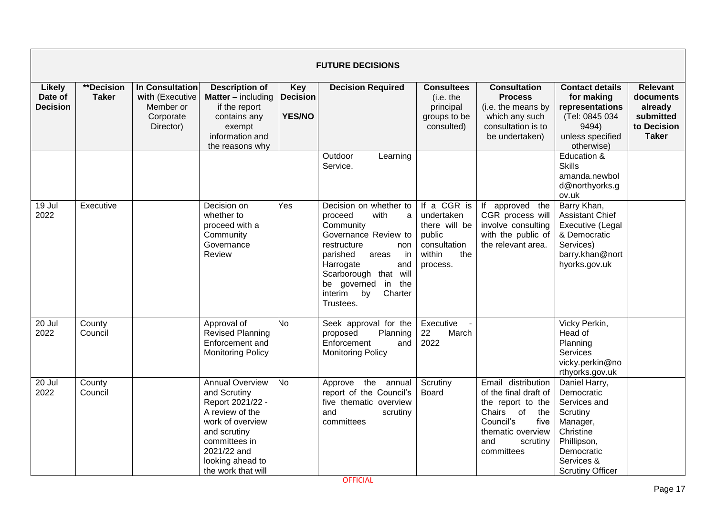|                                             | <b>FUTURE DECISIONS</b>    |                                                                           |                                                                                                                                                                                             |                                                |                                                                                                                                                                                                                                                     |                                                                                                   |                                                                                                                                                                 |                                                                                                                                                        |                                                                                     |  |  |  |
|---------------------------------------------|----------------------------|---------------------------------------------------------------------------|---------------------------------------------------------------------------------------------------------------------------------------------------------------------------------------------|------------------------------------------------|-----------------------------------------------------------------------------------------------------------------------------------------------------------------------------------------------------------------------------------------------------|---------------------------------------------------------------------------------------------------|-----------------------------------------------------------------------------------------------------------------------------------------------------------------|--------------------------------------------------------------------------------------------------------------------------------------------------------|-------------------------------------------------------------------------------------|--|--|--|
| <b>Likely</b><br>Date of<br><b>Decision</b> | **Decision<br><b>Taker</b> | In Consultation<br>with (Executive<br>Member or<br>Corporate<br>Director) | <b>Description of</b><br><b>Matter</b> – including<br>if the report<br>contains any<br>exempt<br>information and<br>the reasons why                                                         | <b>Key</b><br><b>Decision</b><br><b>YES/NO</b> | <b>Decision Required</b>                                                                                                                                                                                                                            | <b>Consultees</b><br>(i.e. the<br>principal<br>groups to be<br>consulted)                         | <b>Consultation</b><br><b>Process</b><br>(i.e. the means by<br>which any such<br>consultation is to<br>be undertaken)                                           | <b>Contact details</b><br>for making<br>representations<br>(Tel: 0845 034<br>9494)<br>unless specified<br>otherwise)                                   | <b>Relevant</b><br>documents<br>already<br>submitted<br>to Decision<br><b>Taker</b> |  |  |  |
|                                             |                            |                                                                           |                                                                                                                                                                                             |                                                | Outdoor<br>Learning<br>Service.                                                                                                                                                                                                                     |                                                                                                   |                                                                                                                                                                 | Education &<br><b>Skills</b><br>amanda.newbol<br>d@northyorks.g<br>ov.uk                                                                               |                                                                                     |  |  |  |
| 19 Jul<br>2022                              | Executive                  |                                                                           | Decision on<br>whether to<br>proceed with a<br>Community<br>Governance<br>Review                                                                                                            | Yes                                            | Decision on whether to<br>proceed<br>with<br>a<br>Community<br>Governance Review to<br>restructure<br>non<br>parished<br>in<br>areas<br>Harrogate<br>and<br>Scarborough that will<br>be governed<br>in<br>the<br>interim by<br>Charter<br>Trustees. | If a CGR is<br>undertaken<br>there will be<br>public<br>consultation<br>within<br>the<br>process. | If approved the<br>CGR process will<br>involve consulting<br>with the public of<br>the relevant area.                                                           | Barry Khan,<br><b>Assistant Chief</b><br>Executive (Legal<br>& Democratic<br>Services)<br>barry.khan@nort<br>hyorks.gov.uk                             |                                                                                     |  |  |  |
| 20 Jul<br>2022                              | County<br>Council          |                                                                           | Approval of<br>Revised Planning<br>Enforcement and<br><b>Monitoring Policy</b>                                                                                                              | Ю                                              | Seek approval for the<br>Planning<br>proposed<br>Enforcement<br>and<br><b>Monitoring Policy</b>                                                                                                                                                     | Executive<br>22<br>March<br>2022                                                                  |                                                                                                                                                                 | Vicky Perkin,<br>Head of<br>Planning<br>Services<br>vicky.perkin@no<br>rthyorks.gov.uk                                                                 |                                                                                     |  |  |  |
| 20 Jul<br>2022                              | County<br>Council          |                                                                           | <b>Annual Overview</b><br>and Scrutiny<br>Report 2021/22 -<br>A review of the<br>work of overview<br>and scrutiny<br>committees in<br>2021/22 and<br>looking ahead to<br>the work that will | No                                             | Approve the annual<br>report of the Council's<br>five thematic overview<br>and<br>scrutiny<br>committees                                                                                                                                            | Scrutiny<br>Board                                                                                 | Email distribution<br>of the final draft of<br>the report to the<br>Chairs of<br>the<br>Council's<br>five<br>thematic overview<br>and<br>scrutiny<br>committees | Daniel Harry,<br>Democratic<br>Services and<br>Scrutiny<br>Manager,<br>Christine<br>Phillipson,<br>Democratic<br>Services &<br><b>Scrutiny Officer</b> |                                                                                     |  |  |  |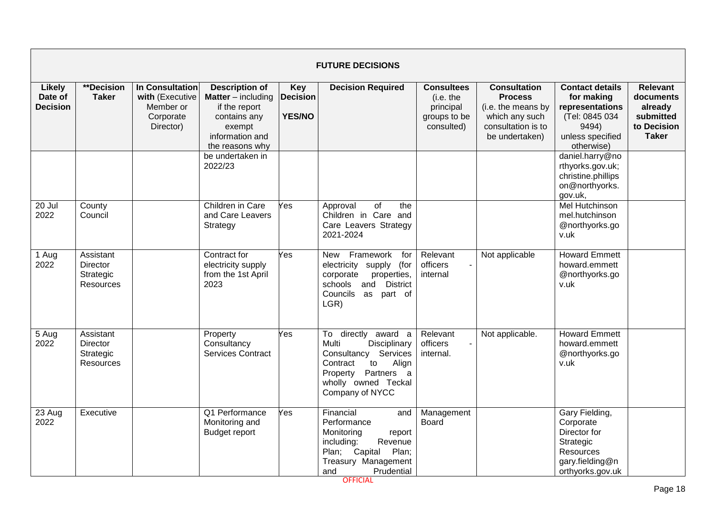|                                             | <b>FUTURE DECISIONS</b>                                       |                                                                                  |                                                                                                                                     |                                                |                                                                                                                                                                           |                                                                           |                                                                                                                       |                                                                                                                      |                                                                                     |  |  |  |
|---------------------------------------------|---------------------------------------------------------------|----------------------------------------------------------------------------------|-------------------------------------------------------------------------------------------------------------------------------------|------------------------------------------------|---------------------------------------------------------------------------------------------------------------------------------------------------------------------------|---------------------------------------------------------------------------|-----------------------------------------------------------------------------------------------------------------------|----------------------------------------------------------------------------------------------------------------------|-------------------------------------------------------------------------------------|--|--|--|
| <b>Likely</b><br>Date of<br><b>Decision</b> | <b>**Decision</b><br><b>Taker</b>                             | <b>In Consultation</b><br>with (Executive<br>Member or<br>Corporate<br>Director) | <b>Description of</b><br><b>Matter</b> – including<br>if the report<br>contains any<br>exempt<br>information and<br>the reasons why | <b>Key</b><br><b>Decision</b><br><b>YES/NO</b> | <b>Decision Required</b>                                                                                                                                                  | <b>Consultees</b><br>(i.e. the<br>principal<br>groups to be<br>consulted) | <b>Consultation</b><br><b>Process</b><br>(i.e. the means by<br>which any such<br>consultation is to<br>be undertaken) | <b>Contact details</b><br>for making<br>representations<br>(Tel: 0845 034<br>9494)<br>unless specified<br>otherwise) | <b>Relevant</b><br>documents<br>already<br>submitted<br>to Decision<br><b>Taker</b> |  |  |  |
|                                             |                                                               |                                                                                  | be undertaken in<br>2022/23                                                                                                         |                                                |                                                                                                                                                                           |                                                                           |                                                                                                                       | daniel.harry@no<br>rthyorks.gov.uk;<br>christine.phillips<br>on@northyorks.<br>gov.uk,                               |                                                                                     |  |  |  |
| 20 Jul<br>2022                              | County<br>Council                                             |                                                                                  | Children in Care<br>and Care Leavers<br>Strategy                                                                                    | Yes                                            | of<br>Approval<br>the<br>Children in Care and<br>Care Leavers Strategy<br>2021-2024                                                                                       |                                                                           |                                                                                                                       | <b>Mel Hutchinson</b><br>mel.hutchinson<br>@northyorks.go<br>v.uk                                                    |                                                                                     |  |  |  |
| 1 Aug<br>2022                               | Assistant<br><b>Director</b><br>Strategic<br><b>Resources</b> |                                                                                  | Contract for<br>electricity supply<br>from the 1st April<br>2023                                                                    | Yes                                            | Framework<br><b>New</b><br>for<br>electricity supply (for<br>corporate<br>properties,<br>and<br><b>District</b><br>schools<br>Councils as part of<br>LGR)                 | Relevant<br>officers<br>internal                                          | Not applicable                                                                                                        | <b>Howard Emmett</b><br>howard.emmett<br>@northyorks.go<br>v.uk                                                      |                                                                                     |  |  |  |
| 5 Aug<br>2022                               | Assistant<br><b>Director</b><br>Strategic<br><b>Resources</b> |                                                                                  | Property<br>Consultancy<br><b>Services Contract</b>                                                                                 | Yes                                            | To directly<br>award a<br>Multi<br>Disciplinary<br>Services<br>Consultancy<br>Align<br>Contract<br>to<br>Partners a<br>Property<br>wholly owned Teckal<br>Company of NYCC | Relevant<br>officers<br>internal.                                         | Not applicable.                                                                                                       | <b>Howard Emmett</b><br>howard.emmett<br>@northyorks.go<br>v.uk                                                      |                                                                                     |  |  |  |
| 23 Aug<br>2022                              | Executive                                                     |                                                                                  | Q1 Performance<br>Monitoring and<br><b>Budget report</b>                                                                            | Yes                                            | Financial<br>and<br>Performance<br>Monitoring<br>report<br>Revenue<br>including:<br>Plan;<br>Capital<br>Plan;<br>Treasury Management<br>Prudential<br>and                 | Management<br><b>Board</b>                                                |                                                                                                                       | Gary Fielding,<br>Corporate<br>Director for<br>Strategic<br><b>Resources</b><br>gary.fielding@n<br>orthyorks.gov.uk  |                                                                                     |  |  |  |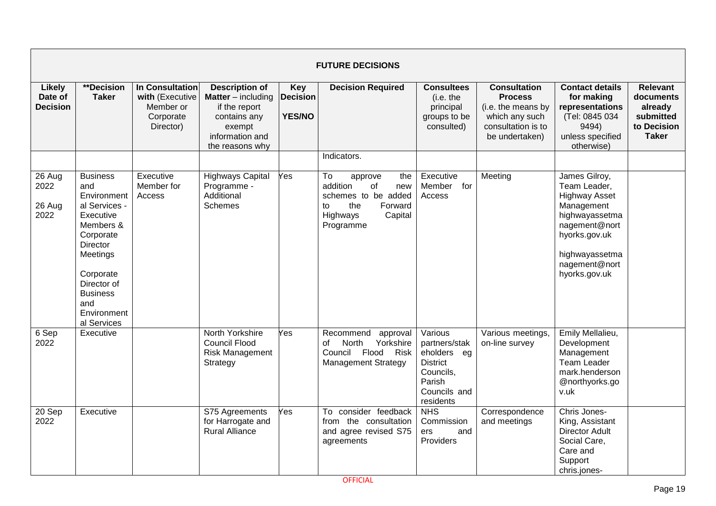|                                      | <b>FUTURE DECISIONS</b>                                                                                                                                                                                          |                                                                           |                                                                                                                                     |                                                |                                                                                                                                  |                                                                                                                |                                                                                                                       |                                                                                                                                                                             |                                                                                     |  |  |  |
|--------------------------------------|------------------------------------------------------------------------------------------------------------------------------------------------------------------------------------------------------------------|---------------------------------------------------------------------------|-------------------------------------------------------------------------------------------------------------------------------------|------------------------------------------------|----------------------------------------------------------------------------------------------------------------------------------|----------------------------------------------------------------------------------------------------------------|-----------------------------------------------------------------------------------------------------------------------|-----------------------------------------------------------------------------------------------------------------------------------------------------------------------------|-------------------------------------------------------------------------------------|--|--|--|
| Likely<br>Date of<br><b>Decision</b> | **Decision<br><b>Taker</b>                                                                                                                                                                                       | In Consultation<br>with (Executive<br>Member or<br>Corporate<br>Director) | <b>Description of</b><br><b>Matter</b> – including<br>if the report<br>contains any<br>exempt<br>information and<br>the reasons why | <b>Key</b><br><b>Decision</b><br><b>YES/NO</b> | <b>Decision Required</b>                                                                                                         | <b>Consultees</b><br>(i.e. the<br>principal<br>groups to be<br>consulted)                                      | <b>Consultation</b><br><b>Process</b><br>(i.e. the means by<br>which any such<br>consultation is to<br>be undertaken) | <b>Contact details</b><br>for making<br>representations<br>(Tel: 0845 034<br>9494)<br>unless specified<br>otherwise)                                                        | <b>Relevant</b><br>documents<br>already<br>submitted<br>to Decision<br><b>Taker</b> |  |  |  |
|                                      |                                                                                                                                                                                                                  |                                                                           |                                                                                                                                     |                                                | Indicators.                                                                                                                      |                                                                                                                |                                                                                                                       |                                                                                                                                                                             |                                                                                     |  |  |  |
| 26 Aug<br>2022<br>26 Aug<br>2022     | <b>Business</b><br>and<br>Environment<br>al Services -<br>Executive<br>Members &<br>Corporate<br><b>Director</b><br>Meetings<br>Corporate<br>Director of<br><b>Business</b><br>and<br>Environment<br>al Services | Executive<br>Member for<br>Access                                         | <b>Highways Capital</b><br>Programme -<br>Additional<br>Schemes                                                                     | Yes                                            | To<br>the<br>approve<br>addition<br>of<br>new<br>schemes to be added<br>the<br>to<br>Forward<br>Highways<br>Capital<br>Programme | Executive<br>Member<br>for<br>Access                                                                           | Meeting                                                                                                               | James Gilroy,<br>Team Leader,<br><b>Highway Asset</b><br>Management<br>highwayassetma<br>nagement@nort<br>hyorks.gov.uk<br>highwayassetma<br>nagement@nort<br>hyorks.gov.uk |                                                                                     |  |  |  |
| 6 Sep<br>2022                        | Executive                                                                                                                                                                                                        |                                                                           | North Yorkshire<br><b>Council Flood</b><br><b>Risk Management</b><br>Strategy                                                       | Yes                                            | Recommend<br>approval<br>North<br>Yorkshire<br>of<br>Council Flood<br>Risk<br><b>Management Strategy</b>                         | Various<br>partners/stak<br>eholders eg<br><b>District</b><br>Councils,<br>Parish<br>Councils and<br>residents | Various meetings,<br>on-line survey                                                                                   | Emily Mellalieu,<br>Development<br>Management<br>Team Leader<br>mark.henderson<br>@northyorks.go<br>v.uk                                                                    |                                                                                     |  |  |  |
| 20 Sep<br>2022                       | Executive                                                                                                                                                                                                        |                                                                           | S75 Agreements<br>for Harrogate and<br><b>Rural Alliance</b>                                                                        | Yes                                            | To consider feedback<br>from the consultation<br>and agree revised S75<br>agreements                                             | <b>NHS</b><br>Commission<br>and<br>ers<br>Providers                                                            | Correspondence<br>and meetings                                                                                        | Chris Jones-<br>King, Assistant<br><b>Director Adult</b><br>Social Care,<br>Care and<br>Support<br>chris.jones-                                                             |                                                                                     |  |  |  |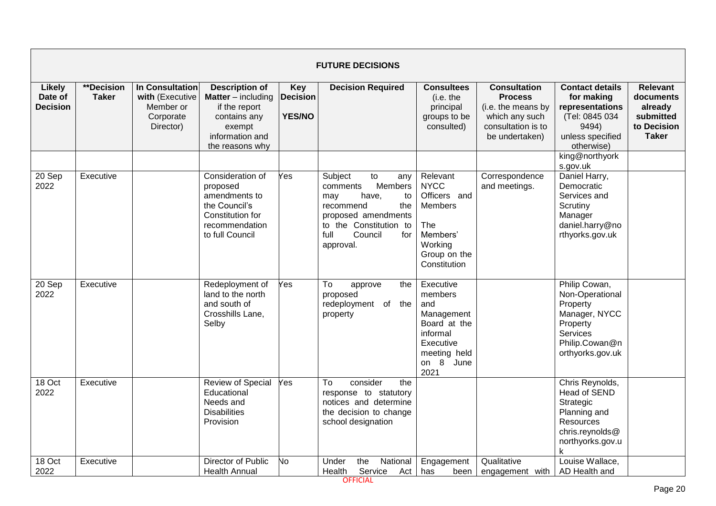|                                             | <b>FUTURE DECISIONS</b>           |                                                                           |                                                                                                                                     |                                                |                                                                                                                                                                               |                                                                                                                         |                                                                                                                       |                                                                                                                                                 |                                                                                     |  |  |  |
|---------------------------------------------|-----------------------------------|---------------------------------------------------------------------------|-------------------------------------------------------------------------------------------------------------------------------------|------------------------------------------------|-------------------------------------------------------------------------------------------------------------------------------------------------------------------------------|-------------------------------------------------------------------------------------------------------------------------|-----------------------------------------------------------------------------------------------------------------------|-------------------------------------------------------------------------------------------------------------------------------------------------|-------------------------------------------------------------------------------------|--|--|--|
| <b>Likely</b><br>Date of<br><b>Decision</b> | <b>**Decision</b><br><b>Taker</b> | In Consultation<br>with (Executive<br>Member or<br>Corporate<br>Director) | <b>Description of</b><br><b>Matter</b> – including<br>if the report<br>contains any<br>exempt<br>information and<br>the reasons why | <b>Key</b><br><b>Decision</b><br><b>YES/NO</b> | <b>Decision Required</b>                                                                                                                                                      | <b>Consultees</b><br>(i.e. the<br>principal<br>groups to be<br>consulted)                                               | <b>Consultation</b><br><b>Process</b><br>(i.e. the means by<br>which any such<br>consultation is to<br>be undertaken) | <b>Contact details</b><br>for making<br>representations<br>(Tel: 0845 034<br>9494)<br>unless specified<br>otherwise)                            | <b>Relevant</b><br>documents<br>already<br>submitted<br>to Decision<br><b>Taker</b> |  |  |  |
| 20 Sep<br>2022                              | Executive                         |                                                                           | Consideration of<br>proposed<br>amendments to<br>the Council's<br>Constitution for<br>recommendation<br>to full Council             | Yes                                            | Subject<br>to<br>any<br>Members<br>comments<br>have,<br>to<br>may<br>the<br>recommend<br>proposed amendments<br>to the Constitution to<br>full<br>Council<br>for<br>approval. | Relevant<br><b>NYCC</b><br>Officers and<br><b>Members</b><br>The<br>Members'<br>Working<br>Group on the<br>Constitution | Correspondence<br>and meetings.                                                                                       | king@northyork<br>s.gov.uk<br>Daniel Harry,<br>Democratic<br>Services and<br>Scrutiny<br>Manager<br>daniel.harry@no<br>rthyorks.gov.uk          |                                                                                     |  |  |  |
| 20 Sep<br>2022                              | Executive                         |                                                                           | Redeployment of<br>land to the north<br>and south of<br>Crosshills Lane,<br>Selby                                                   | Yes                                            | To<br>approve<br>the<br>proposed<br>redeployment of<br>the<br>property                                                                                                        | Executive<br>members<br>and<br>Management<br>Board at the<br>informal<br>Executive<br>meeting held<br>on 8 June<br>2021 |                                                                                                                       | Philip Cowan,<br>Non-Operational<br>Property<br>Manager, NYCC<br>Property<br><b>Services</b><br>Philip.Cowan@n<br>orthyorks.gov.uk              |                                                                                     |  |  |  |
| 18 Oct<br>2022                              | Executive                         |                                                                           | <b>Review of Special</b><br>Educational<br>Needs and<br><b>Disabilities</b><br>Provision<br>Director of Public                      | Yes                                            | consider<br>the<br>To<br>response to statutory<br>notices and determine<br>the decision to change<br>school designation                                                       |                                                                                                                         |                                                                                                                       | Chris Reynolds,<br><b>Head of SEND</b><br>Strategic<br>Planning and<br>Resources<br>chris.reynolds@<br>northyorks.gov.u<br>k<br>Louise Wallace, |                                                                                     |  |  |  |
| 18 Oct<br>2022                              | Executive                         |                                                                           | <b>Health Annual</b>                                                                                                                | No                                             | the<br>National<br>Under<br>Health<br>Service<br>Act                                                                                                                          | Engagement<br>has<br>been                                                                                               | Qualitative<br>engagement with                                                                                        | AD Health and                                                                                                                                   |                                                                                     |  |  |  |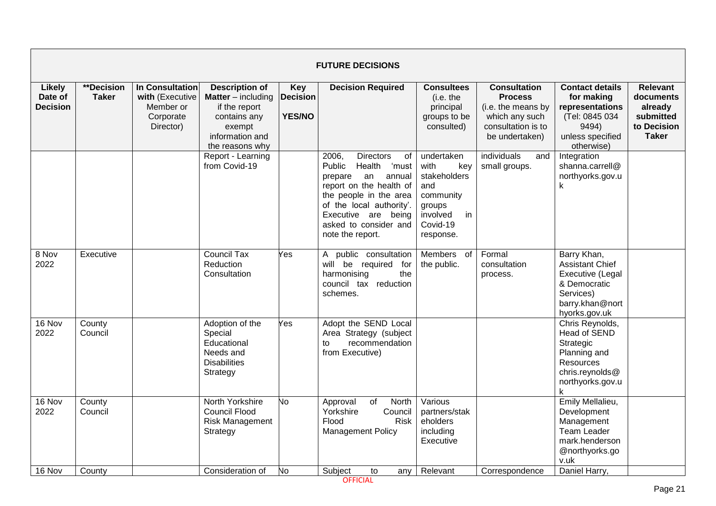|                                             |                                   |                                                                                  |                                                                                                                                       |                                                | <b>FUTURE DECISIONS</b>                                                                                                                                                                                                                      |                                                                                                                    |                                                                                                                       |                                                                                                                            |                                                                                     |
|---------------------------------------------|-----------------------------------|----------------------------------------------------------------------------------|---------------------------------------------------------------------------------------------------------------------------------------|------------------------------------------------|----------------------------------------------------------------------------------------------------------------------------------------------------------------------------------------------------------------------------------------------|--------------------------------------------------------------------------------------------------------------------|-----------------------------------------------------------------------------------------------------------------------|----------------------------------------------------------------------------------------------------------------------------|-------------------------------------------------------------------------------------|
| <b>Likely</b><br>Date of<br><b>Decision</b> | <b>**Decision</b><br><b>Taker</b> | <b>In Consultation</b><br>with (Executive<br>Member or<br>Corporate<br>Director) | <b>Description of</b><br><b>Matter</b> $-$ including<br>if the report<br>contains any<br>exempt<br>information and<br>the reasons why | <b>Key</b><br><b>Decision</b><br><b>YES/NO</b> | <b>Decision Required</b>                                                                                                                                                                                                                     | <b>Consultees</b><br>(i.e. the<br>principal<br>groups to be<br>consulted)                                          | <b>Consultation</b><br><b>Process</b><br>(i.e. the means by<br>which any such<br>consultation is to<br>be undertaken) | <b>Contact details</b><br>for making<br>representations<br>(Tel: 0845 034<br>9494)<br>unless specified<br>otherwise)       | <b>Relevant</b><br>documents<br>already<br>submitted<br>to Decision<br><b>Taker</b> |
|                                             |                                   |                                                                                  | Report - Learning<br>from Covid-19                                                                                                    |                                                | 2006,<br><b>Directors</b><br>of<br>Public<br>Health<br>ʻmust<br>an<br>annual<br>prepare<br>report on the health of<br>the people in the area<br>of the local authority'.<br>Executive are being<br>asked to consider and<br>note the report. | undertaken<br>with<br>key<br>stakeholders<br>and<br>community<br>groups<br>involved<br>in<br>Covid-19<br>response. | <i>individuals</i><br>and<br>small groups.                                                                            | Integration<br>shanna.carrell@<br>northyorks.gov.u<br>k                                                                    |                                                                                     |
| 8 Nov<br>2022                               | Executive                         |                                                                                  | <b>Council Tax</b><br>Reduction<br>Consultation                                                                                       | Yes                                            | public consultation<br>A<br>will be required for<br>harmonising<br>the<br>council tax reduction<br>schemes.                                                                                                                                  | <b>Members</b><br>of<br>the public.                                                                                | Formal<br>consultation<br>process.                                                                                    | Barry Khan,<br><b>Assistant Chief</b><br>Executive (Legal<br>& Democratic<br>Services)<br>barry.khan@nort<br>hyorks.gov.uk |                                                                                     |
| 16 Nov<br>2022                              | County<br>Council                 |                                                                                  | Adoption of the<br>Special<br>Educational<br>Needs and<br><b>Disabilities</b><br>Strategy                                             | Yes                                            | Adopt the SEND Local<br>Area Strategy (subject<br>recommendation<br>to<br>from Executive)                                                                                                                                                    |                                                                                                                    |                                                                                                                       | Chris Reynolds,<br>Head of SEND<br>Strategic<br>Planning and<br>Resources<br>chris.reynolds@<br>northyorks.gov.u<br>k      |                                                                                     |
| 16 Nov<br>2022                              | County<br>Council                 |                                                                                  | North Yorkshire<br><b>Council Flood</b><br><b>Risk Management</b><br>Strategy                                                         | No                                             | of<br>North<br>Approval<br>Yorkshire<br>Council<br>Flood<br>Risk<br><b>Management Policy</b>                                                                                                                                                 | Various<br>partners/stak<br>eholders<br>including<br>Executive                                                     |                                                                                                                       | Emily Mellalieu,<br>Development<br>Management<br><b>Team Leader</b><br>mark.henderson<br>@northyorks.go<br>v.uk            |                                                                                     |
| 16 Nov                                      | County                            |                                                                                  | Consideration of                                                                                                                      | No                                             | Subject<br>to<br>any                                                                                                                                                                                                                         | Relevant                                                                                                           | Correspondence                                                                                                        | Daniel Harry,                                                                                                              |                                                                                     |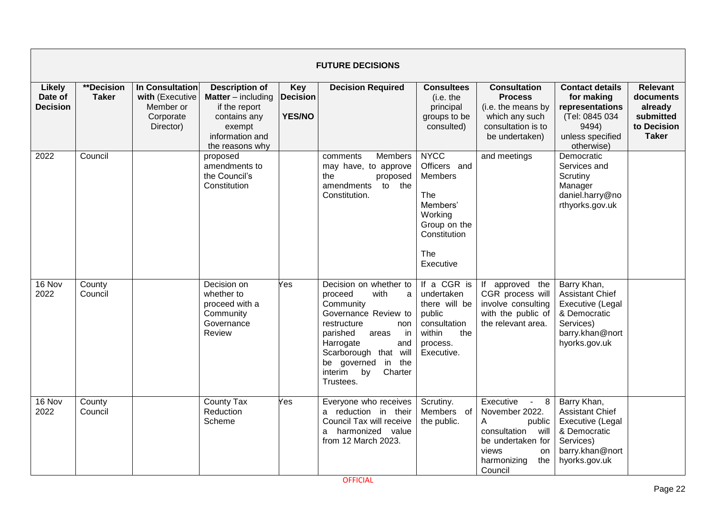|                                      | <b>FUTURE DECISIONS</b>    |                                                                           |                                                                                                                                       |                                                |                                                                                                                                                                                                                                                                   |                                                                                                                          |                                                                                                                                                               |                                                                                                                            |                                                                                     |  |  |  |  |
|--------------------------------------|----------------------------|---------------------------------------------------------------------------|---------------------------------------------------------------------------------------------------------------------------------------|------------------------------------------------|-------------------------------------------------------------------------------------------------------------------------------------------------------------------------------------------------------------------------------------------------------------------|--------------------------------------------------------------------------------------------------------------------------|---------------------------------------------------------------------------------------------------------------------------------------------------------------|----------------------------------------------------------------------------------------------------------------------------|-------------------------------------------------------------------------------------|--|--|--|--|
| Likely<br>Date of<br><b>Decision</b> | **Decision<br><b>Taker</b> | In Consultation<br>with (Executive<br>Member or<br>Corporate<br>Director) | <b>Description of</b><br><b>Matter</b> $-$ including<br>if the report<br>contains any<br>exempt<br>information and<br>the reasons why | <b>Key</b><br><b>Decision</b><br><b>YES/NO</b> | <b>Decision Required</b>                                                                                                                                                                                                                                          | <b>Consultees</b><br>(i.e. the<br>principal<br>groups to be<br>consulted)                                                | <b>Consultation</b><br><b>Process</b><br>(i.e. the means by<br>which any such<br>consultation is to<br>be undertaken)                                         | <b>Contact details</b><br>for making<br>representations<br>(Tel: 0845 034<br>9494)<br>unless specified<br>otherwise)       | <b>Relevant</b><br>documents<br>already<br>submitted<br>to Decision<br><b>Taker</b> |  |  |  |  |
| 2022                                 | Council                    |                                                                           | proposed<br>amendments to<br>the Council's<br>Constitution                                                                            |                                                | comments<br>Members<br>may have, to approve<br>the<br>proposed<br>amendments<br>to the<br>Constitution.                                                                                                                                                           | <b>NYCC</b><br>Officers and<br>Members<br>The<br>Members'<br>Working<br>Group on the<br>Constitution<br>The<br>Executive | and meetings                                                                                                                                                  | Democratic<br>Services and<br>Scrutiny<br>Manager<br>daniel.harry@no<br>rthyorks.gov.uk                                    |                                                                                     |  |  |  |  |
| 16 Nov<br>2022                       | County<br>Council          |                                                                           | Decision on<br>whether to<br>proceed with a<br>Community<br>Governance<br>Review                                                      | Yes                                            | Decision on whether to<br>with<br>proceed<br>$\mathsf{a}$<br>Community<br>Governance Review to<br>restructure<br>non<br>parished<br>in<br>areas<br>Harrogate<br>and<br>Scarborough that will<br>in<br>be governed<br>the<br>interim<br>by<br>Charter<br>Trustees. | If a CGR is<br>undertaken<br>there will be<br>public<br>consultation<br>within<br>the<br>process.<br>Executive.          | approved the<br>lf<br>CGR process will<br>involve consulting<br>with the public of<br>the relevant area.                                                      | Barry Khan,<br><b>Assistant Chief</b><br>Executive (Legal<br>& Democratic<br>Services)<br>barry.khan@nort<br>hyorks.gov.uk |                                                                                     |  |  |  |  |
| 16 Nov<br>2022                       | County<br>Council          |                                                                           | <b>County Tax</b><br>Reduction<br>Scheme                                                                                              | Yes                                            | Everyone who receives<br>a reduction in their<br>Council Tax will receive<br>harmonized value<br>a<br>from 12 March 2023.                                                                                                                                         | Scrutiny.<br>Members of<br>the public.                                                                                   | Executive<br>8<br>$\sim$<br>November 2022.<br>А<br>public<br>consultation<br>will<br>be undertaken for<br>views<br><b>on</b><br>harmonizing<br>the<br>Council | Barry Khan,<br><b>Assistant Chief</b><br>Executive (Legal<br>& Democratic<br>Services)<br>barry.khan@nort<br>hyorks.gov.uk |                                                                                     |  |  |  |  |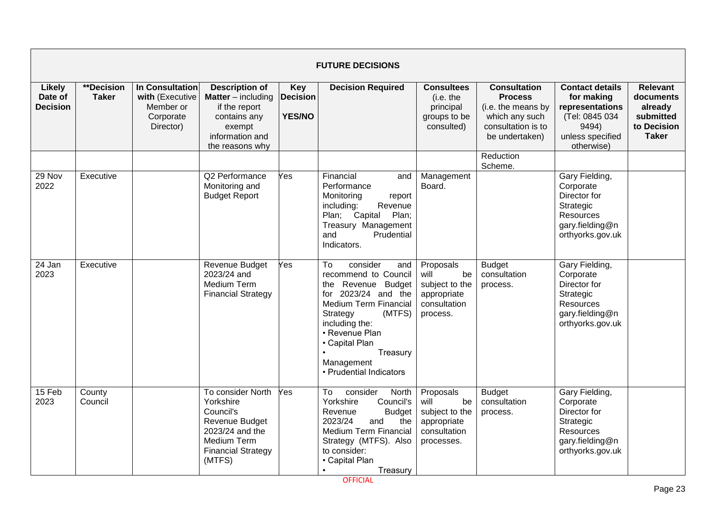|                                             | <b>FUTURE DECISIONS</b>           |                                                                           |                                                                                                                                                      |                                                |                                                                                                                                                                                                                                                               |                                                                                        |                                                                                                                       |                                                                                                                      |                                                                                     |  |  |  |
|---------------------------------------------|-----------------------------------|---------------------------------------------------------------------------|------------------------------------------------------------------------------------------------------------------------------------------------------|------------------------------------------------|---------------------------------------------------------------------------------------------------------------------------------------------------------------------------------------------------------------------------------------------------------------|----------------------------------------------------------------------------------------|-----------------------------------------------------------------------------------------------------------------------|----------------------------------------------------------------------------------------------------------------------|-------------------------------------------------------------------------------------|--|--|--|
| <b>Likely</b><br>Date of<br><b>Decision</b> | <b>**Decision</b><br><b>Taker</b> | In Consultation<br>with (Executive<br>Member or<br>Corporate<br>Director) | <b>Description of</b><br><b>Matter</b> – including<br>if the report<br>contains any<br>exempt<br>information and<br>the reasons why                  | <b>Key</b><br><b>Decision</b><br><b>YES/NO</b> | <b>Decision Required</b>                                                                                                                                                                                                                                      | <b>Consultees</b><br>(i.e. the<br>principal<br>groups to be<br>consulted)              | <b>Consultation</b><br><b>Process</b><br>(i.e. the means by<br>which any such<br>consultation is to<br>be undertaken) | <b>Contact details</b><br>for making<br>representations<br>(Tel: 0845 034<br>9494)<br>unless specified<br>otherwise) | <b>Relevant</b><br>documents<br>already<br>submitted<br>to Decision<br><b>Taker</b> |  |  |  |
|                                             |                                   |                                                                           |                                                                                                                                                      |                                                |                                                                                                                                                                                                                                                               |                                                                                        | Reduction<br>Scheme.                                                                                                  |                                                                                                                      |                                                                                     |  |  |  |
| 29 Nov<br>2022                              | Executive                         |                                                                           | Q2 Performance<br>Monitoring and<br><b>Budget Report</b>                                                                                             | Yes                                            | Financial<br>and<br>Performance<br>Monitoring<br>report<br>including:<br>Revenue<br>Plan; Capital<br>Plan;<br>Treasury Management<br>Prudential<br>and<br>Indicators.                                                                                         | Management<br>Board.                                                                   |                                                                                                                       | Gary Fielding,<br>Corporate<br>Director for<br>Strategic<br>Resources<br>gary.fielding@n<br>orthyorks.gov.uk         |                                                                                     |  |  |  |
| 24 Jan<br>2023                              | Executive                         |                                                                           | Revenue Budget<br>2023/24 and<br>Medium Term<br><b>Financial Strategy</b>                                                                            | Yes                                            | consider<br>To<br>and<br>recommend to Council<br>the Revenue Budget<br>for $2023/24$ and the<br><b>Medium Term Financial</b><br>Strategy<br>(MTFS)<br>including the:<br>• Revenue Plan<br>• Capital Plan<br>Treasury<br>Management<br>• Prudential Indicators | Proposals<br>will<br>be<br>subject to the<br>appropriate<br>consultation<br>process.   | <b>Budget</b><br>consultation<br>process.                                                                             | Gary Fielding,<br>Corporate<br>Director for<br>Strategic<br>Resources<br>gary.fielding@n<br>orthyorks.gov.uk         |                                                                                     |  |  |  |
| 15 Feb<br>2023                              | County<br>Council                 |                                                                           | To consider North<br>Yorkshire<br>Council's<br><b>Revenue Budget</b><br>2023/24 and the<br><b>Medium Term</b><br><b>Financial Strategy</b><br>(MTFS) | Yes                                            | To<br>consider<br>North<br>Yorkshire<br>Council's<br>Revenue<br><b>Budget</b><br>2023/24<br>and<br>the<br><b>Medium Term Financial</b><br>Strategy (MTFS). Also<br>to consider:<br>• Capital Plan<br>Treasury                                                 | Proposals<br>will<br>be<br>subject to the<br>appropriate<br>consultation<br>processes. | <b>Budget</b><br>consultation<br>process.                                                                             | Gary Fielding,<br>Corporate<br>Director for<br>Strategic<br>Resources<br>gary.fielding@n<br>orthyorks.gov.uk         |                                                                                     |  |  |  |